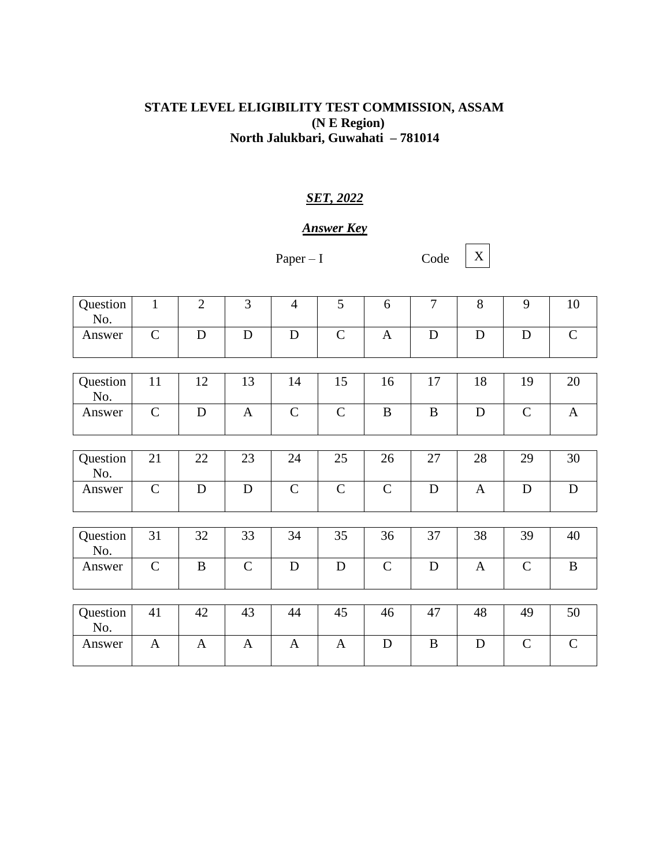## **STATE LEVEL ELIGIBILITY TEST COMMISSION, ASSAM (N E Region) North Jalukbari, Guwahati – 781014**

## *SET, 2022*

## *Answer Key*

Paper – I Code

X

| Question<br>No. | $\mathbf{1}$  | $\overline{2}$ | $\overline{3}$ | $\overline{4}$ | 5             | 6             | $\overline{7}$ | 8            | 9             | 10           |
|-----------------|---------------|----------------|----------------|----------------|---------------|---------------|----------------|--------------|---------------|--------------|
| Answer          | $\mathbf C$   | $\mathbf D$    | $\mathbf D$    | D              | $\mathcal{C}$ | $\mathbf{A}$  | $\mathbf D$    | $\mathbf D$  | D             | $\mathsf{C}$ |
|                 |               |                |                |                |               |               |                |              |               |              |
| Question<br>No. | 11            | 12             | 13             | 14             | 15            | 16            | 17             | 18           | 19            | 20           |
| Answer          | $\mathcal{C}$ | $\mathbf D$    | $\mathbf{A}$   | $\mathbf C$    | $\mathsf{C}$  | $\bf{B}$      | B              | $\mathbf D$  | $\mathsf{C}$  | $\mathbf{A}$ |
|                 |               |                |                |                |               |               |                |              |               |              |
| Question<br>No. | 21            | 22             | 23             | 24             | 25            | 26            | 27             | 28           | 29            | 30           |
| Answer          | $\mathbf C$   | $\mathbf D$    | $\mathbf D$    | $\mathsf{C}$   | $\mathbf C$   | $\mathbf C$   | $\mathbf D$    | $\mathbf{A}$ | $\mathbf D$   | $\mathbf D$  |
|                 |               |                |                |                |               |               |                |              |               |              |
| Question<br>No. | 31            | 32             | 33             | 34             | 35            | 36            | 37             | 38           | 39            | 40           |
| Answer          | $\mathcal{C}$ | B              | $\mathbf C$    | D              | D             | $\mathcal{C}$ | $\mathbf D$    | A            | $\mathcal{C}$ | $\bf{B}$     |
|                 |               |                |                |                |               |               |                |              |               |              |
| Question<br>No. | 41            | 42             | 43             | 44             | 45            | 46            | 47             | 48           | 49            | 50           |
| Answer          | $\mathbf{A}$  | $\mathbf{A}$   | $\mathbf{A}$   | $\mathbf{A}$   | $\mathbf{A}$  | D             | B              | D            | $\mathcal{C}$ | $\mathsf{C}$ |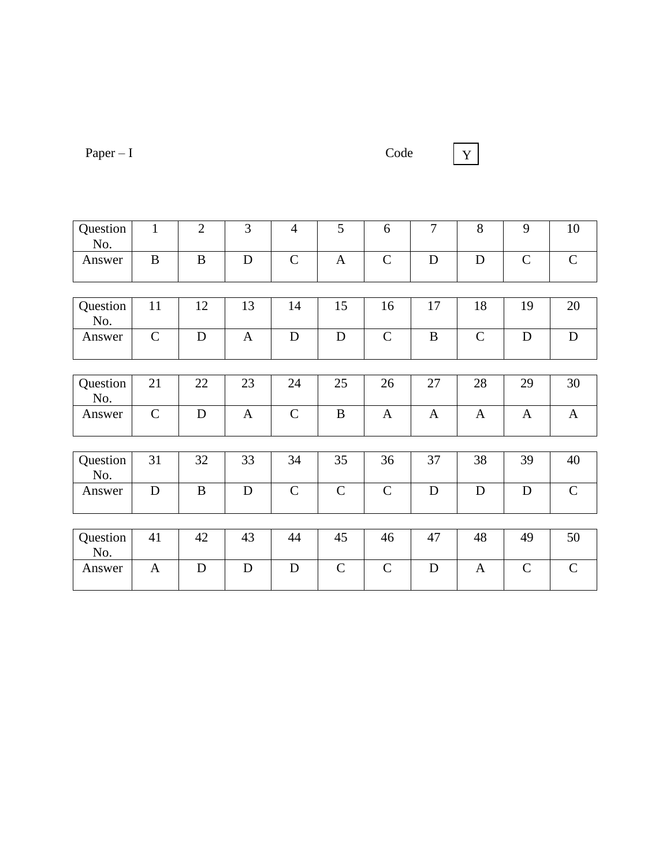Paper – I Code

Y

| Question        | $\mathbf{1}$  | $\overline{2}$ | 3            | $\overline{4}$ | 5            | 6             | $\overline{7}$ | 8            | 9             | 10           |
|-----------------|---------------|----------------|--------------|----------------|--------------|---------------|----------------|--------------|---------------|--------------|
| No.             |               |                |              |                |              |               |                |              |               |              |
| Answer          | $\bf{B}$      | $\overline{B}$ | $\mathbf D$  | $\mathsf{C}$   | $\mathbf{A}$ | $\mathbf C$   | $\mathbf D$    | D            | $\mathcal{C}$ | $\mathbf C$  |
|                 |               |                |              |                |              |               |                |              |               |              |
| Question<br>No. | 11            | 12             | 13           | 14             | 15           | 16            | 17             | 18           | 19            | 20           |
| Answer          | $\mathcal{C}$ | $\mathbf D$    | $\mathbf{A}$ | $\mathbf D$    | D            | $\mathcal{C}$ | $\bf{B}$       | $\mathsf{C}$ | D             | $\mathbf D$  |
|                 |               |                |              |                |              |               |                |              |               |              |
| Question<br>No. | 21            | 22             | 23           | 24             | 25           | 26            | 27             | 28           | 29            | 30           |
| Answer          | $\mathbf C$   | $\mathbf D$    | $\mathbf{A}$ | $\mathbf C$    | $\bf{B}$     | $\mathbf{A}$  | $\mathbf{A}$   | $\mathbf{A}$ | $\mathbf{A}$  | $\mathbf{A}$ |
|                 |               |                |              |                |              |               |                |              |               |              |
| Question<br>No. | 31            | 32             | 33           | 34             | 35           | 36            | 37             | 38           | 39            | 40           |
| Answer          | D             | $\bf{B}$       | ${\bf D}$    | $\mathcal{C}$  | $\mathbf C$  | $\mathbf C$   | $\mathbf D$    | $\mathbf D$  | ${\bf D}$     | $\mathbf C$  |
|                 |               |                |              |                |              |               |                |              |               |              |
| Question<br>No. | 41            | 42             | 43           | 44             | 45           | 46            | 47             | 48           | 49            | 50           |
| Answer          | $\mathbf{A}$  | D              | $\mathbf D$  | D              | $\mathbf C$  | $\mathcal{C}$ | $\mathbf D$    | A            | $\mathcal{C}$ | $\mathsf{C}$ |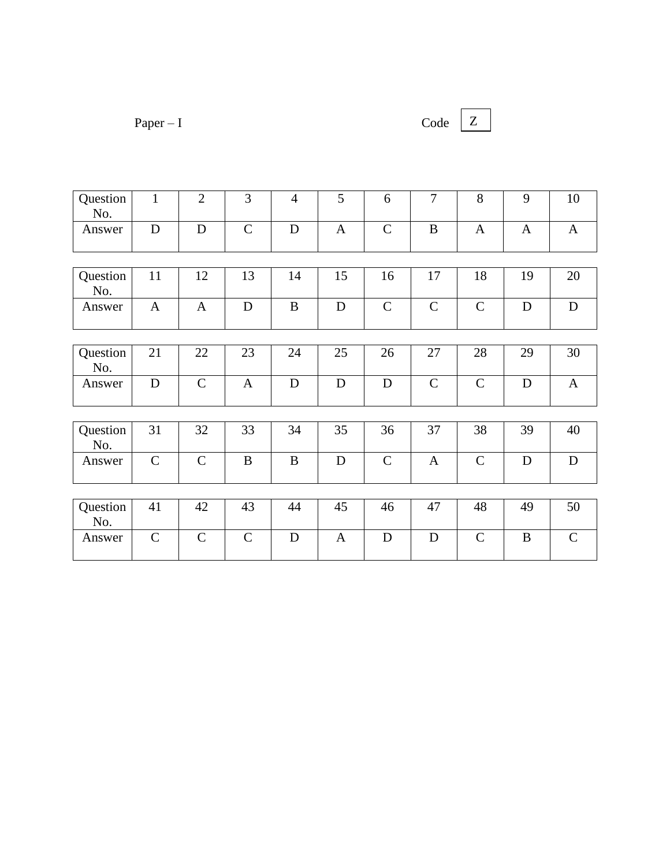| $Paper - I$ |  |
|-------------|--|
|             |  |

```
Code Z
```

| Question<br>No. | $\mathbf{1}$  | $\overline{2}$ | 3             | $\overline{4}$ | 5            | 6            | $\overline{7}$ | 8             | 9            | 10           |
|-----------------|---------------|----------------|---------------|----------------|--------------|--------------|----------------|---------------|--------------|--------------|
| Answer          | $\mathbf D$   | D              | $\mathbf C$   | $\mathbf D$    | $\mathbf{A}$ | $\mathsf{C}$ | $\bf{B}$       | $\mathbf{A}$  | $\mathbf{A}$ | $\mathbf{A}$ |
|                 |               |                |               |                |              |              |                |               |              |              |
| Question<br>No. | 11            | 12             | 13            | 14             | 15           | 16           | 17             | 18            | 19           | 20           |
| Answer          | $\mathbf{A}$  | $\mathbf{A}$   | $\mathbf D$   | B              | $\mathbf D$  | $\mathbf C$  | $\mathsf{C}$   | $\mathbf C$   | D            | $\mathbf D$  |
|                 |               |                |               |                |              |              |                |               |              |              |
| Question<br>No. | 21            | 22             | 23            | 24             | 25           | 26           | 27             | 28            | 29           | 30           |
| Answer          | $\mathbf D$   | $\mathcal{C}$  | $\mathbf{A}$  | $\mathbf D$    | $\mathbf D$  | $\mathbf D$  | $\mathsf{C}$   | $\mathbf C$   | $\mathbf D$  | $\mathbf{A}$ |
|                 |               |                |               |                |              |              |                |               |              |              |
| Question<br>No. | 31            | 32             | 33            | 34             | 35           | 36           | 37             | 38            | 39           | 40           |
| Answer          | $\mathsf{C}$  | $\mathcal{C}$  | B             | B              | $\mathbf D$  | $\mathsf{C}$ | $\mathbf{A}$   | $\mathbf C$   | D            | $\mathbf D$  |
|                 |               |                |               |                |              |              |                |               |              |              |
| Question<br>No. | 41            | 42             | 43            | 44             | 45           | 46           | 47             | 48            | 49           | 50           |
| Answer          | $\mathcal{C}$ | $\mathcal{C}$  | $\mathcal{C}$ | $\mathbf D$    | $\mathbf{A}$ | D            | $\mathbf D$    | $\mathcal{C}$ | B            | $\mathbf C$  |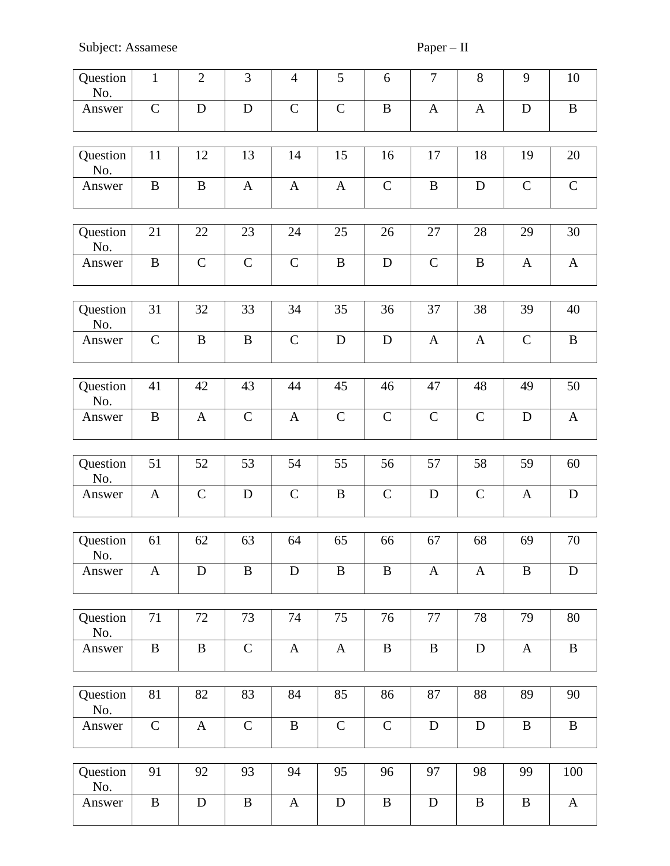| Question<br>No. | $\mathbf{1}$ | $\overline{2}$ | 3            | $\overline{4}$            | 5            | 6            | $\overline{7}$ | $8\,$        | 9            | 10           |
|-----------------|--------------|----------------|--------------|---------------------------|--------------|--------------|----------------|--------------|--------------|--------------|
| Answer          | $\mathsf C$  | $\mathbf D$    | $\mathbf D$  | $\mathsf{C}$              | $\mathbf C$  | $\, {\bf B}$ | $\mathbf{A}$   | $\mathbf{A}$ | $\mathbf D$  | $\, {\bf B}$ |
| Question<br>No. | 11           | 12             | 13           | 14                        | 15           | 16           | 17             | 18           | 19           | 20           |
| Answer          | $\bf{B}$     | $\, {\bf B}$   | $\mathbf{A}$ | $\mathbf{A}$              | $\mathbf{A}$ | $\mathbf C$  | $\, {\bf B}$   | $\mathbf D$  | $\mathsf{C}$ | $\mathbf C$  |
| Question<br>No. | 21           | 22             | 23           | 24                        | 25           | 26           | 27             | 28           | 29           | 30           |
| Answer          | $\bf{B}$     | $\mathbf C$    | $\mathsf{C}$ | $\mathsf C$               | $\, {\bf B}$ | $\mathbf D$  | $\mathbf C$    | $\, {\bf B}$ | $\mathbf{A}$ | $\mathbf{A}$ |
| Question<br>No. | 31           | 32             | 33           | 34                        | 35           | 36           | 37             | 38           | 39           | 40           |
| Answer          | $\mathbf C$  | $\bf{B}$       | $\, {\bf B}$ | $\mathcal{C}$             | ${\bf D}$    | $\mathbf D$  | $\mathbf{A}$   | $\mathbf{A}$ | $\mathbf C$  | $\bf{B}$     |
| Question<br>No. | 41           | 42             | 43           | 44                        | 45           | 46           | 47             | 48           | 49           | 50           |
| Answer          | $\bf{B}$     | $\mathbf{A}$   | $\mathbf C$  | $\mathbf{A}$              | $\mathbf C$  | $\mathbf C$  | $\mathsf{C}$   | $\mathbf C$  | $\mathbf D$  | $\mathbf{A}$ |
|                 |              |                |              |                           |              |              |                |              |              |              |
| Question<br>No. | 51           | 52             | 53           | 54                        | 55           | 56           | 57             | 58           | 59           | 60           |
| Answer          | $\mathbf{A}$ | $\mathbf C$    | $\mathbf D$  | $\mathbf C$               | B            | $\mathsf{C}$ | D              | $\mathbf C$  | $\mathbf{A}$ | ${\bf D}$    |
| Question<br>No. | 61           | 62             | 63           | 64                        | 65           | 66           | 67             | 68           | 69           | 70           |
| Answer          | $\mathbf{A}$ | D              | B            | D                         | B            | B            | $\mathbf{A}$   | A            | B            | D            |
| Question        | 71           | 72             | 73           | 74                        | 75           | 76           | 77             | 78           | 79           | 80           |
| No.             |              |                |              |                           |              |              |                |              |              |              |
| Answer          | $\, {\bf B}$ | $\bf{B}$       | $\mathbf C$  | $\boldsymbol{\mathsf{A}}$ | $\mathbf{A}$ | $\, {\bf B}$ | $\, {\bf B}$   | $\mathbf D$  | $\mathbf{A}$ | $\, {\bf B}$ |
| Question<br>No. | 81           | 82             | 83           | 84                        | 85           | 86           | 87             | 88           | 89           | 90           |
| Answer          | $\mathsf{C}$ | $\mathbf{A}$   | $\mathbf C$  | $\, {\bf B}$              | $\mathbf C$  | $\mathsf{C}$ | ${\bf D}$      | $\mathbf D$  | $\bf{B}$     | $\, {\bf B}$ |
|                 |              |                |              |                           |              |              |                |              |              |              |
| Question<br>No. | 91           | 92             | 93           | 94                        | 95           | 96           | 97             | 98           | 99           | 100          |
| Answer          | $\bf{B}$     | $\mathbf D$    | $\, {\bf B}$ | $\mathbf{A}$              | $\mathbf D$  | $\bf{B}$     | $\mathbf D$    | $\, {\bf B}$ | $\bf{B}$     | $\mathbf{A}$ |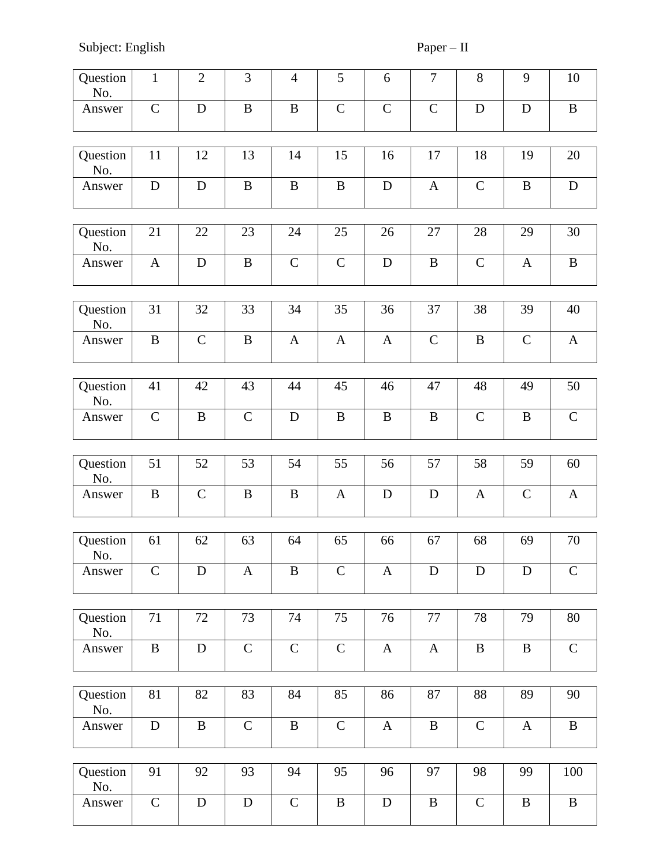Subject: English Paper – II

| Question<br>No. | $\mathbf{1}$  | $\overline{2}$ | 3            | $\overline{4}$ | 5             | 6            | $\tau$       | $8\,$        | 9            | 10           |
|-----------------|---------------|----------------|--------------|----------------|---------------|--------------|--------------|--------------|--------------|--------------|
| Answer          | $\mathbf C$   | $\mathbf D$    | $\, {\bf B}$ | $\, {\bf B}$   | $\mathbf C$   | $\mathbf C$  | $\mathbf C$  | $\mathbf D$  | D            | $\, {\bf B}$ |
| Question<br>No. | 11            | 12             | 13           | 14             | 15            | 16           | 17           | 18           | 19           | 20           |
| Answer          | $\mathbf D$   | D              | $\, {\bf B}$ | $\bf{B}$       | $\, {\bf B}$  | $\mathbf D$  | $\mathbf{A}$ | $\mathbf C$  | $\, {\bf B}$ | ${\bf D}$    |
|                 |               |                |              |                |               |              |              |              |              |              |
| Question<br>No. | 21            | 22             | 23           | 24             | 25            | 26           | 27           | 28           | 29           | 30           |
| Answer          | $\mathbf{A}$  | $\mathbf D$    | $\, {\bf B}$ | $\mathbf C$    | $\mathbf C$   | ${\bf D}$    | $\, {\bf B}$ | $\mathbf C$  | $\mathbf{A}$ | $\, {\bf B}$ |
| Question<br>No. | 31            | 32             | 33           | 34             | 35            | 36           | 37           | 38           | 39           | 40           |
| Answer          | $\mathbf{B}$  | $\mathbf C$    | $\, {\bf B}$ | $\mathbf{A}$   | $\mathbf{A}$  | $\mathbf{A}$ | $\mathbf C$  | $\, {\bf B}$ | $\mathsf{C}$ | $\mathbf{A}$ |
|                 |               |                |              |                |               |              |              |              |              |              |
| Question<br>No. | 41            | 42             | 43           | 44             | 45            | 46           | 47           | 48           | 49           | 50           |
| Answer          | $\mathbf C$   | $\bf{B}$       | $\mathbf C$  | D              | $\bf{B}$      | $\bf{B}$     | $\bf{B}$     | $\mathbf C$  | B            | $\mathbf C$  |
|                 |               |                |              |                |               |              |              |              |              |              |
| Question<br>No. | 51            | 52             | 53           | 54             | 55            | 56           | 57           | 58           | 59           | 60           |
| Answer          | $\bf{B}$      | $\mathbf C$    | $\bf{B}$     | $\bf{B}$       | A             | D            | $\mathbf D$  | A            | $\mathsf{C}$ | $\mathbf{A}$ |
|                 |               |                |              |                |               |              |              |              |              |              |
| Question<br>No. | 61            | 62             | 63           | 64             | 65            | 66           | 67           | 68           | 69           | 70           |
| Answer          | $\mathcal{C}$ | $\mathbf D$    | $\mathbf{A}$ | $\, {\bf B}$   | $\mathcal{C}$ | $\mathbf{A}$ | $\mathbf D$  | D            | D            | $\mathbf C$  |
|                 |               |                |              |                |               |              |              |              |              |              |
| Question<br>No. | 71            | 72             | 73           | 74             | 75            | 76           | 77           | 78           | 79           | 80           |
| Answer          | $\mathbf B$   | ${\bf D}$      | $\mathbf C$  | $\mathbf C$    | $\mathbf C$   | $\mathbf{A}$ | $\mathbf{A}$ | $\, {\bf B}$ | $\bf{B}$     | $\mathbf C$  |
|                 |               |                |              |                |               |              |              |              |              |              |
| Question<br>No. | 81            | 82             | 83           | 84             | 85            | 86           | 87           | 88           | 89           | 90           |
| Answer          | ${\bf D}$     | $\bf{B}$       | $\mathbf C$  | $\bf{B}$       | $\mathbf C$   | $\mathbf{A}$ | $\, {\bf B}$ | $\mathbf C$  | $\mathbf{A}$ | $\, {\bf B}$ |
|                 |               |                |              |                |               |              |              |              |              |              |
| Question<br>No. | 91            | 92             | 93           | 94             | 95            | 96           | 97           | 98           | 99           | 100          |
| Answer          | $\mathbf C$   | ${\bf D}$      | ${\bf D}$    | $\mathbf C$    | $\, {\bf B}$  | ${\bf D}$    | $\, {\bf B}$ | $\mathbf C$  | B            | $\, {\bf B}$ |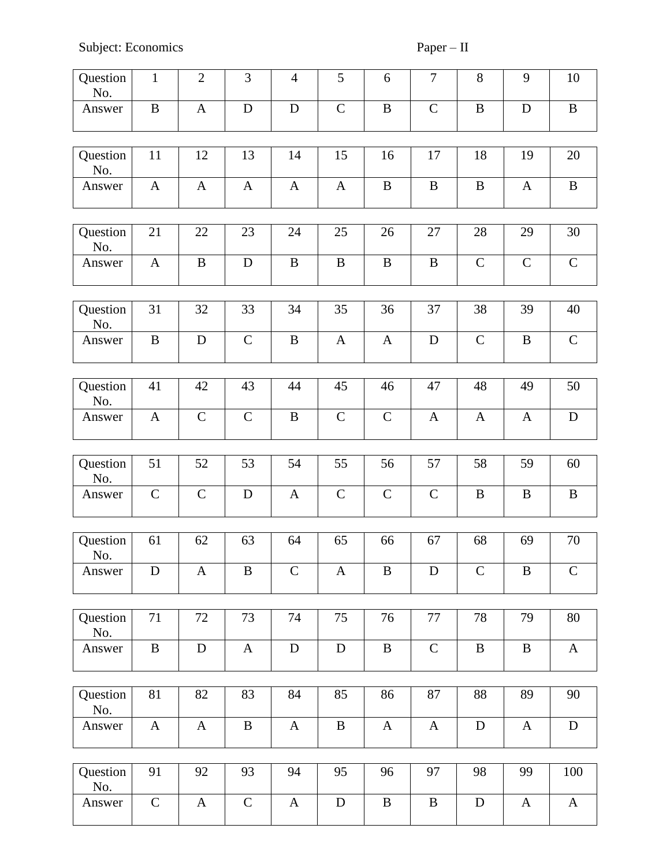Subject: Economics Paper – II

| Question<br>No. | $\mathbf{1}$ | $\overline{2}$ | 3            | $\overline{4}$ | 5             | 6             | $\boldsymbol{7}$ | 8            | 9            | 10           |
|-----------------|--------------|----------------|--------------|----------------|---------------|---------------|------------------|--------------|--------------|--------------|
| Answer          | $\bf{B}$     | $\mathbf{A}$   | D            | $\mathbf D$    | $\mathcal{C}$ | $\, {\bf B}$  | $\mathbf C$      | $\, {\bf B}$ | D            | $\, {\bf B}$ |
| Question<br>No. | 11           | 12             | 13           | 14             | 15            | 16            | 17               | 18           | 19           | 20           |
| Answer          | $\mathbf{A}$ | $\mathbf{A}$   | $\mathbf{A}$ | $\mathbf{A}$   | $\mathbf{A}$  | $\bf{B}$      | $\, {\bf B}$     | $\, {\bf B}$ | $\mathbf{A}$ | $\bf{B}$     |
|                 |              |                |              |                |               |               |                  |              |              |              |
| Question<br>No. | 21           | 22             | 23           | 24             | 25            | 26            | 27               | 28           | 29           | 30           |
| Answer          | $\mathbf{A}$ | $\bf{B}$       | $\mathbf D$  | $\bf{B}$       | $\, {\bf B}$  | $\, {\bf B}$  | $\, {\bf B}$     | $\mathbf C$  | $\mathsf{C}$ | ${\bf C}$    |
|                 |              |                |              |                |               |               |                  |              |              |              |
| Question<br>No. | 31           | 32             | 33           | 34             | 35            | 36            | 37               | 38           | 39           | 40           |
| Answer          | $\bf{B}$     | $\mathbf D$    | $\mathbf C$  | $\bf{B}$       | $\mathbf{A}$  | $\mathbf{A}$  | $\mathbf D$      | $\mathbf C$  | $\bf{B}$     | $\mathbf C$  |
|                 |              |                |              |                |               |               |                  |              |              |              |
| Question<br>No. | 41           | 42             | 43           | 44             | 45            | 46            | 47               | 48           | 49           | 50           |
| Answer          | $\mathbf{A}$ | $\mathbf C$    | $\mathbf C$  | $\bf{B}$       | $\mathbf C$   | $\mathcal{C}$ | $\mathbf{A}$     | $\mathbf{A}$ | $\mathbf{A}$ | $\mathbf D$  |
|                 |              |                |              |                |               |               |                  |              |              |              |
| Question<br>No. | 51           | 52             | 53           | 54             | 55            | 56            | 57               | 58           | 59           | 60           |
| Answer          | $\mathbf C$  | $\mathcal{C}$  | $\mathbf D$  | $\mathbf{A}$   | $\mathsf{C}$  | $\mathbf C$   | $\mathbf C$      | $\, {\bf B}$ | B            | $\bf{B}$     |
|                 |              |                |              |                |               |               |                  |              |              |              |
| Question<br>No. | 61           | 62             | 63           | 64             | 65            | 66            | 67               | 68           | 69           | 70           |
| Answer          | $\mathbf D$  | $\mathbf{A}$   | $\, {\bf B}$ | $\mathbf C$    | $\mathbf{A}$  | $\, {\bf B}$  | ${\bf D}$        | $\mathbf C$  | $\bf{B}$     | $\mathsf C$  |
|                 |              |                |              |                |               |               |                  |              |              |              |
| Question<br>No. | 71           | 72             | 73           | 74             | 75            | 76            | 77               | 78           | 79           | 80           |
| Answer          | $\, {\bf B}$ | ${\bf D}$      | $\mathbf{A}$ | ${\bf D}$      | ${\bf D}$     | $\, {\bf B}$  | $\mathbf C$      | $\, {\bf B}$ | $\bf{B}$     | $\mathbf A$  |
|                 |              |                |              |                |               |               |                  |              |              |              |
| Question<br>No. | 81           | 82             | 83           | 84             | 85            | 86            | 87               | 88           | 89           | 90           |
| Answer          | $\mathbf{A}$ | $\mathbf{A}$   | $\, {\bf B}$ | $\mathbf{A}$   | $\bf{B}$      | $\mathbf{A}$  | $\mathbf{A}$     | ${\bf D}$    | $\mathbf{A}$ | $\mathbf D$  |
|                 |              |                |              |                |               |               |                  |              |              |              |
| Question<br>No. | 91           | 92             | 93           | 94             | 95            | 96            | 97               | 98           | 99           | 100          |
| Answer          | $\mathbf C$  | $\mathbf{A}$   | ${\bf C}$    | $\mathbf{A}$   | ${\bf D}$     | $\bf{B}$      | $\, {\bf B}$     | ${\bf D}$    | A            | $\mathbf{A}$ |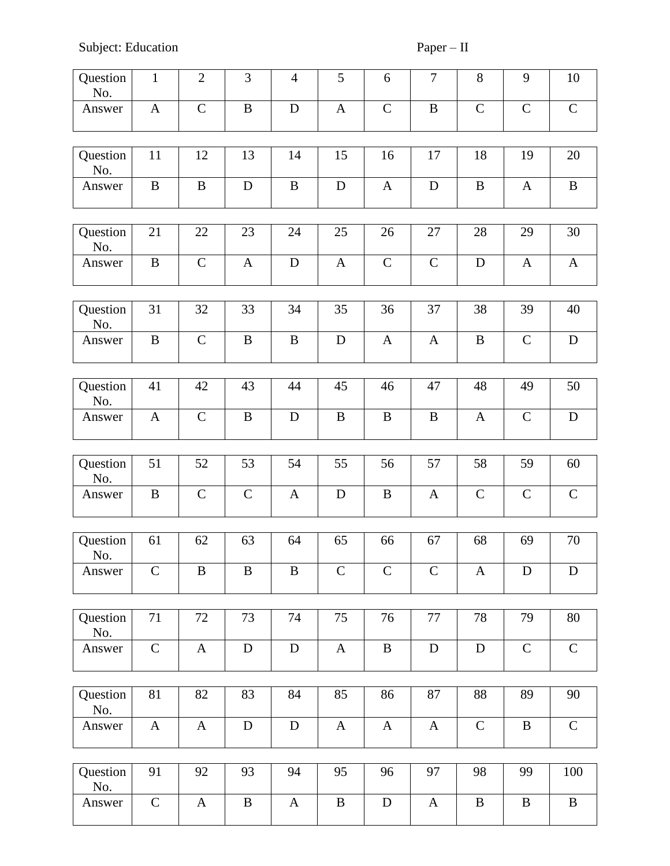Subject: Education Paper – II

| Question<br>No. | $\mathbf{1}$ | $\mathfrak{2}$ | 3            | $\overline{4}$ | 5            | 6            | $\overline{7}$ | $8\,$        | 9            | 10           |
|-----------------|--------------|----------------|--------------|----------------|--------------|--------------|----------------|--------------|--------------|--------------|
| Answer          | $\mathbf{A}$ | $\mathbf C$    | $\bf{B}$     | D              | $\mathbf{A}$ | $\mathbf C$  | $\bf{B}$       | $\mathbf C$  | $\mathbf C$  | $\mathbf C$  |
| Question<br>No. | 11           | 12             | 13           | 14             | 15           | 16           | 17             | 18           | 19           | 20           |
| Answer          | $\, {\bf B}$ | B              | $\mathbf D$  | $\bf{B}$       | $\mathbf D$  | $\mathbf{A}$ | $\mathbf D$    | $\, {\bf B}$ | A            | $\, {\bf B}$ |
| Question<br>No. | 21           | 22             | 23           | 24             | 25           | 26           | 27             | 28           | 29           | 30           |
| Answer          | $\bf{B}$     | $\mathbf C$    | $\mathbf{A}$ | $\mathbf D$    | $\mathbf{A}$ | $\mathsf{C}$ | $\mathbf C$    | $\mathbf D$  | $\mathbf{A}$ | $\mathbf{A}$ |
| Question<br>No. | 31           | 32             | 33           | 34             | 35           | 36           | 37             | 38           | 39           | 40           |
| Answer          | $\bf{B}$     | $\mathbf C$    | $\, {\bf B}$ | $\bf{B}$       | $\mathbf D$  | $\mathbf{A}$ | $\mathbf{A}$   | $\bf{B}$     | $\mathsf{C}$ | $\mathbf D$  |
| Question        |              |                |              |                |              |              |                |              |              |              |
| No.             | 41           | 42             | 43           | 44             | 45           | 46           | 47             | 48           | 49           | 50           |
| Answer          | $\mathbf{A}$ | $\mathbf C$    | $\bf{B}$     | D              | B            | $\bf{B}$     | $\bf{B}$       | $\mathbf{A}$ | $\mathbf C$  | D            |
| Question        | 51           | 52             | 53           | 54             | 55           | 56           | 57             | 58           | 59           | 60           |
| No.             |              |                |              |                |              |              |                |              |              |              |
| Answer          | $\bf{B}$     | $\mathbf C$    | $\mathsf{C}$ | $\mathbf{A}$   | D            | B            | A              | $\mathbf C$  | $\mathbf C$  | $\mathbf C$  |
|                 |              |                |              |                |              |              |                |              |              |              |
| Question<br>No. | 61           | 62             | 63           | 64             | 65           | 66           | 67             | 68           | 69           | 70           |
| Answer          | $\mathbf C$  | B              | B            | $\bf{B}$       | $\mathsf{C}$ | $\mathbf C$  | $\mathbf C$    | A            | D            | D            |
|                 |              |                |              |                |              |              |                |              |              |              |
| Question<br>No. | 71           | 72             | 73           | 74             | 75           | 76           | 77             | 78           | 79           | 80           |
| Answer          | $\mathbf C$  | $\mathbf{A}$   | ${\bf D}$    | ${\bf D}$      | $\mathbf{A}$ | $\bf{B}$     | $\mathbf D$    | $\mathbf D$  | $\mathsf{C}$ | $\mathbf C$  |
|                 |              |                |              |                |              |              |                |              |              |              |
| Question<br>No. | 81           | 82             | 83           | 84             | 85           | 86           | 87             | 88           | 89           | 90           |
| Answer          | $\mathbf{A}$ | $\mathbf{A}$   | D            | $\mathbf D$    | $\mathbf{A}$ | $\mathbf{A}$ | $\mathbf{A}$   | $\mathbf C$  | $\bf{B}$     | $\mathsf{C}$ |
| Question        | 91           | 92             | 93           | 94             | 95           | 96           | 97             | 98           | 99           | 100          |
| No.             |              |                |              |                |              |              |                |              |              |              |
| Answer          | $\mathbf C$  | A              | $\, {\bf B}$ | $\mathbf{A}$   | $\bf{B}$     | $\mathbf D$  | $\mathbf{A}$   | $\, {\bf B}$ | $\, {\bf B}$ | $\bf{B}$     |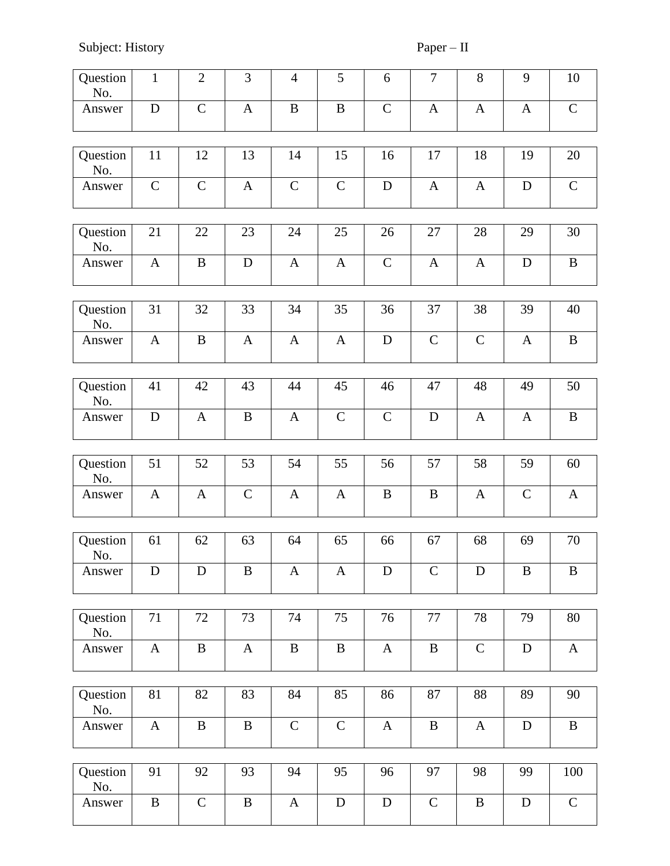Subject: History Paper – II

| Question<br>No. | $\mathbf{1}$ | $\mathfrak{2}$ | 3            | $\overline{4}$ | 5            | 6             | $\tau$       | $8\,$        | 9            | 10           |
|-----------------|--------------|----------------|--------------|----------------|--------------|---------------|--------------|--------------|--------------|--------------|
| Answer          | D            | $\mathbf C$    | $\mathbf{A}$ | B              | B            | $\mathsf{C}$  | $\mathbf{A}$ | $\mathbf{A}$ | $\mathbf{A}$ | $\mathbf C$  |
| Question<br>No. | 11           | 12             | 13           | 14             | 15           | 16            | 17           | 18           | 19           | 20           |
| Answer          | $\mathsf{C}$ | $\mathbf C$    | $\mathbf{A}$ | $\mathsf{C}$   | $\mathbf C$  | $\mathbf D$   | $\mathbf{A}$ | A            | D            | $\mathbf C$  |
|                 |              |                |              |                |              |               |              |              |              |              |
| Question<br>No. | 21           | 22             | 23           | 24             | 25           | 26            | 27           | 28           | 29           | 30           |
| Answer          | $\mathbf{A}$ | $\bf{B}$       | $\mathbf D$  | $\mathbf{A}$   | $\mathbf{A}$ | $\mathcal{C}$ | $\mathbf{A}$ | A            | $\mathbf D$  | $\bf{B}$     |
|                 |              |                |              |                |              |               |              |              |              |              |
| Question<br>No. | 31           | 32             | 33           | 34             | 35           | 36            | 37           | 38           | 39           | 40           |
| Answer          | $\mathbf{A}$ | B              | $\mathbf{A}$ | $\mathbf{A}$   | $\mathbf{A}$ | $\mathbf D$   | $\mathsf{C}$ | $\mathsf{C}$ | $\mathbf{A}$ | $\bf{B}$     |
|                 |              |                |              |                |              |               |              |              |              |              |
| Question<br>No. | 41           | 42             | 43           | 44             | 45           | 46            | 47           | 48           | 49           | 50           |
| Answer          | D            | A              | $\bf{B}$     | $\mathbf{A}$   | $\mathbf C$  | $\mathcal{C}$ | D            | A            | $\mathbf{A}$ | $\bf{B}$     |
|                 |              |                |              |                |              |               |              |              |              |              |
| Question<br>No. | 51           | 52             | 53           | 54             | 55           | 56            | 57           | 58           | 59           | 60           |
| Answer          | A            | A              | $\mathbf C$  | $\mathbf{A}$   | A            | B             | $\bf{B}$     | A            | $\mathbf C$  | $\mathbf{A}$ |
|                 |              |                |              |                |              |               |              |              |              |              |
| Question<br>No. | 61           | 62             | 63           | 64             | 65           | 66            | 67           | 68           | 69           | 70           |
| Answer          | $\mathbf D$  | D              | B            | $\mathbf{A}$   | A            | D             | $\mathbf C$  | D            | B            | $\bf{B}$     |
|                 |              |                |              |                |              |               |              |              |              |              |
| Question<br>No. | 71           | 72             | 73           | 74             | 75           | 76            | 77           | 78           | 79           | 80           |
| Answer          | $\mathbf{A}$ | $\bf{B}$       | $\mathbf{A}$ | $\bf{B}$       | $\bf{B}$     | $\mathbf{A}$  | $\, {\bf B}$ | $\mathbf C$  | $\mathbf D$  | $\mathbf{A}$ |
|                 |              |                |              |                |              |               |              |              |              |              |
| Question<br>No. | 81           | 82             | 83           | 84             | 85           | 86            | 87           | 88           | 89           | 90           |
| Answer          | $\mathbf{A}$ | B              | $\bf{B}$     | $\mathbf C$    | $\mathbf C$  | $\mathbf{A}$  | $\bf{B}$     | $\mathbf{A}$ | D            | $\, {\bf B}$ |
|                 |              |                |              |                |              |               |              |              |              |              |
| Question<br>No. | 91           | 92             | 93           | 94             | 95           | 96            | 97           | 98           | 99           | 100          |
| Answer          | $\bf{B}$     | $\mathsf{C}$   | $\bf{B}$     | $\mathbf{A}$   | $\mathbf D$  | $\mathbf D$   | $\mathbf C$  | $\, {\bf B}$ | D            | $\mathbf C$  |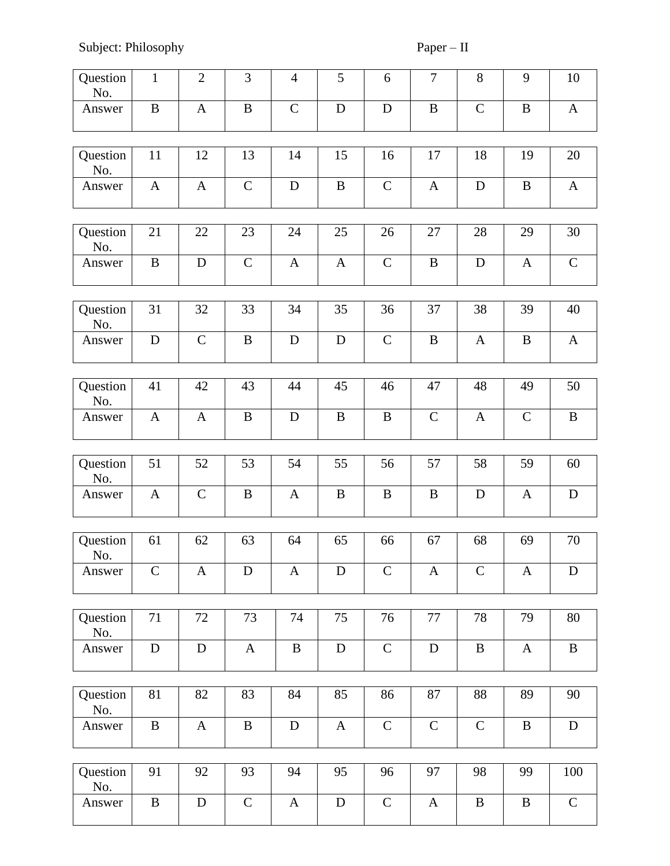Subject: Philosophy Paper – II

| Question<br>No. | $\mathbf{1}$ | $\overline{2}$ | 3            | $\overline{4}$ | 5            | 6            | $\boldsymbol{7}$ | 8            | 9            | 10           |
|-----------------|--------------|----------------|--------------|----------------|--------------|--------------|------------------|--------------|--------------|--------------|
| Answer          | $\, {\bf B}$ | $\mathbf{A}$   | $\bf{B}$     | $\mathbf C$    | D            | D            | $\bf{B}$         | $\mathsf{C}$ | B            | $\mathbf{A}$ |
| Question<br>No. | 11           | 12             | 13           | 14             | 15           | 16           | 17               | 18           | 19           | 20           |
| Answer          | $\mathbf{A}$ | $\mathbf{A}$   | $\mathbf C$  | $\mathbf D$    | $\, {\bf B}$ | $\mathbf C$  | $\mathbf{A}$     | ${\bf D}$    | $\bf{B}$     | $\mathbf{A}$ |
| Question<br>No. | 21           | 22             | 23           | 24             | 25           | 26           | 27               | 28           | 29           | 30           |
| Answer          | $\bf{B}$     | ${\bf D}$      | $\mathbf C$  | $\mathbf{A}$   | $\mathbf{A}$ | $\mathsf{C}$ | $\, {\bf B}$     | $\mathbf D$  | $\mathbf{A}$ | $\mathbf C$  |
| Question<br>No. | 31           | 32             | 33           | 34             | 35           | 36           | 37               | 38           | 39           | 40           |
| Answer          | ${\bf D}$    | $\mathbf C$    | $\, {\bf B}$ | $\mathbf D$    | $\mathbf D$  | $\mathbf C$  | $\, {\bf B}$     | $\mathbf{A}$ | $\bf{B}$     | $\mathbf{A}$ |
| Question<br>No. | 41           | 42             | 43           | 44             | 45           | 46           | 47               | 48           | 49           | 50           |
| Answer          | $\mathbf{A}$ | $\mathbf{A}$   | $\bf{B}$     | D              | B            | $\bf{B}$     | $\mathbf C$      | $\mathbf{A}$ | $\mathbf C$  | $\, {\bf B}$ |
| Question<br>No. | 51           | 52             | 53           | 54             | 55           | 56           | 57               | 58           | 59           | 60           |
| Answer          | $\mathbf{A}$ | $\mathcal{C}$  | $\, {\bf B}$ | $\mathbf{A}$   | $\bf{B}$     | $\bf{B}$     | $\, {\bf B}$     | ${\bf D}$    | A            | ${\bf D}$    |
| Question<br>No. | 61           | 62             | 63           | 64             | 65           | 66           | 67               | 68           | 69           | 70           |
| Answer          | $\mathbf C$  | $\mathbf A$    | D            | $\mathbf{A}$   | D            | $\mathbf C$  | $\mathbf{A}$     | $\mathbf C$  | $\mathbf{A}$ | $\mathbf D$  |
| Question<br>No. | 71           | 72             | 73           | 74             | 75           | 76           | 77               | 78           | 79           | 80           |
| Answer          | ${\bf D}$    | ${\bf D}$      | $\mathbf{A}$ | $\, {\bf B}$   | $\mathbf D$  | $\mathbf C$  | ${\bf D}$        | $\bf{B}$     | $\mathbf{A}$ | $\, {\bf B}$ |
| Question<br>No. | 81           | 82             | 83           | 84             | 85           | 86           | 87               | 88           | 89           | 90           |
| Answer          | $\, {\bf B}$ | $\mathbf{A}$   | $\bf{B}$     | $\mathbf D$    | $\mathbf{A}$ | $\mathbf C$  | $\mathbf C$      | $\mathbf C$  | B            | D            |
| Question        | 91           | 92             | 93           | 94             | 95           | 96           | 97               | 98           | 99           | 100          |
| No.<br>Answer   | $\, {\bf B}$ | ${\bf D}$      | $\mathbf C$  | $\mathbf{A}$   | ${\bf D}$    | $\mathbf C$  | $\mathbf{A}$     | $\, {\bf B}$ | $\bf{B}$     | $\mathbf C$  |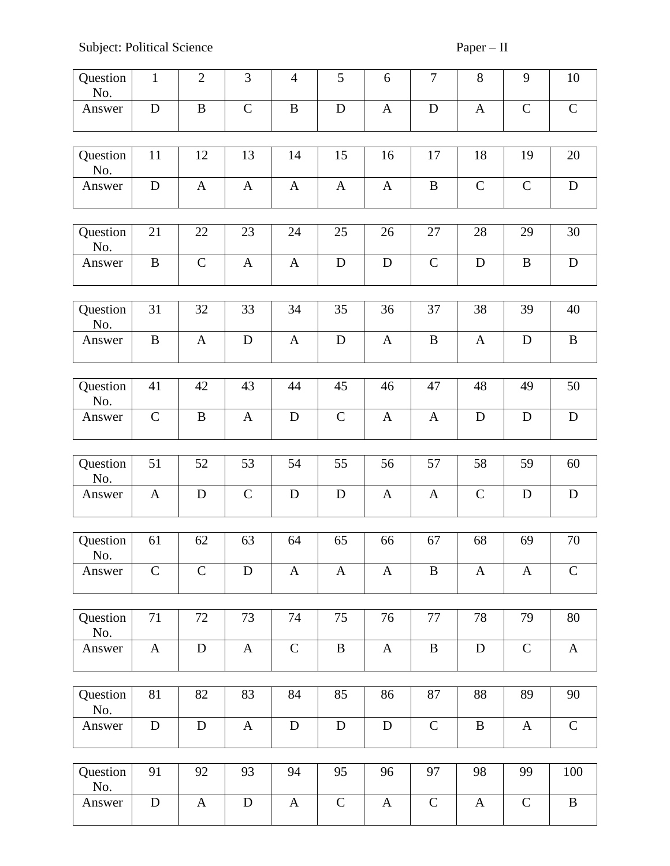Subject: Political Science Paper – II

| Question<br>No. | $\mathbf{1}$  | $\mathfrak{2}$ | 3            | $\overline{4}$ | 5             | 6            | 7             | 8            | 9             | 10           |
|-----------------|---------------|----------------|--------------|----------------|---------------|--------------|---------------|--------------|---------------|--------------|
| Answer          | D             | $\, {\bf B}$   | $\mathbf C$  | $\, {\bf B}$   | $\mathbf D$   | $\mathbf{A}$ | D             | $\mathbf{A}$ | $\mathbf C$   | $\mathbf C$  |
| Question<br>No. | 11            | 12             | 13           | 14             | 15            | 16           | 17            | 18           | 19            | 20           |
| Answer          | $\mathbf D$   | A              | $\mathbf{A}$ | $\mathbf{A}$   | $\mathbf{A}$  | $\mathbf{A}$ | $\, {\bf B}$  | $\mathbf C$  | $\mathcal{C}$ | D            |
| Question<br>No. | 21            | 22             | 23           | 24             | 25            | 26           | 27            | 28           | 29            | 30           |
| Answer          | $\bf{B}$      | $\mathbf C$    | $\mathbf{A}$ | $\mathbf{A}$   | D             | D            | $\mathcal{C}$ | $\mathbf D$  | B             | D            |
| Question<br>No. | 31            | 32             | 33           | 34             | 35            | 36           | 37            | 38           | 39            | 40           |
| Answer          | $\, {\bf B}$  | A              | D            | $\mathbf{A}$   | $\mathbf D$   | $\mathbf{A}$ | $\, {\bf B}$  | $\mathbf{A}$ | $\mathbf D$   | $\, {\bf B}$ |
|                 |               |                |              |                |               |              |               |              |               |              |
| Question<br>No. | 41            | 42             | 43           | 44             | 45            | 46           | 47            | 48           | 49            | 50           |
| Answer          | $\mathbf C$   | $\, {\bf B}$   | $\mathbf{A}$ | D              | $\mathcal{C}$ | $\mathbf{A}$ | $\mathbf{A}$  | $\mathbf D$  | D             | ${\bf D}$    |
| Question        | 51            | 52             | 53           | 54             | 55            | 56           | 57            | 58           | 59            | 60           |
| No.             |               |                |              |                |               |              |               |              |               |              |
| Answer          | $\mathbf{A}$  | D              | $\mathbf C$  | D              | D             | $\mathbf{A}$ | $\mathbf{A}$  | $\mathbf C$  | D             | D            |
| Question        | 61            | 62             | 63           | 64             | 65            | 66           | 67            | 68           | 69            | 70           |
| No.             |               |                |              |                |               |              |               |              |               |              |
| Answer          | $\mathcal{C}$ | $\mathsf{C}$   | $\mathbf D$  | $\mathbf{A}$   | $\mathbf{A}$  | $\mathbf{A}$ | $\bf{B}$      | $\mathbf{A}$ | A             | $\mathbf C$  |
| Question        | 71            | 72             | 73           | 74             | 75            | 76           | 77            | 78           | 79            | 80           |
| No.             |               |                |              |                |               |              |               |              |               |              |
| Answer          | $\mathbf{A}$  | $\mathbf D$    | $\mathbf{A}$ | $\mathbf C$    | $\, {\bf B}$  | $\mathbf{A}$ | $\, {\bf B}$  | $\mathbf D$  | $\mathbf C$   | $\mathbf{A}$ |
| Question        | 81            | 82             | 83           | 84             | 85            | 86           | 87            | 88           | 89            | 90           |
| No.             |               |                |              |                |               |              |               |              |               |              |
| Answer          | $\mathbf D$   | $\mathbf D$    | $\mathbf{A}$ | $\mathbf D$    | ${\bf D}$     | D            | $\mathbf C$   | $\bf{B}$     | $\mathbf{A}$  | $\mathbf C$  |
| Question        | 91            | 92             | 93           | 94             | 95            | 96           | 97            | 98           | 99            | 100          |
| No.             |               |                |              |                |               |              |               |              |               |              |
| Answer          | ${\bf D}$     | $\mathbf{A}$   | $\mathbf D$  | $\mathbf{A}$   | $\mathbf C$   | $\mathbf{A}$ | $\mathbf C$   | $\mathbf{A}$ | $\mathbf C$   | $\bf{B}$     |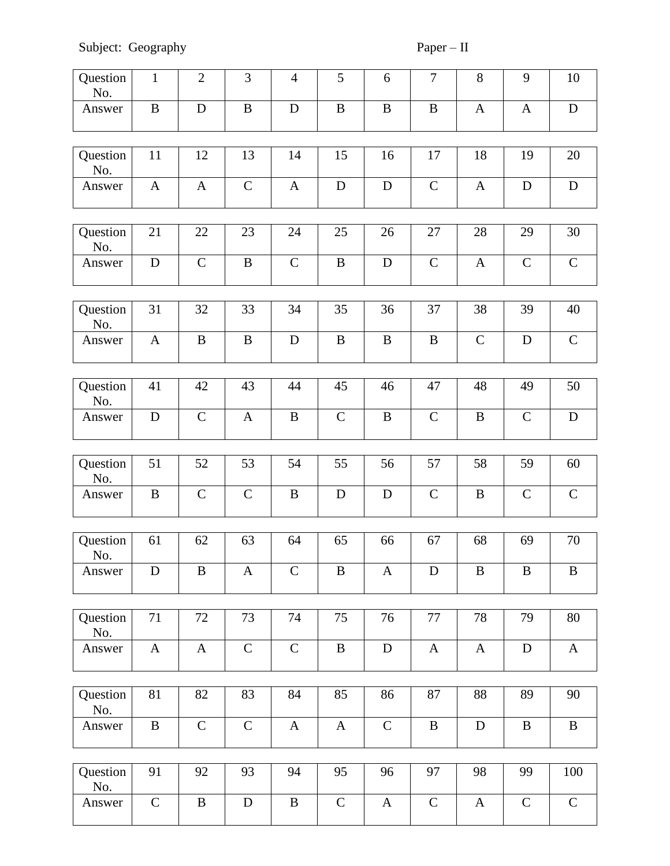Subject: Geography Paper – II

| Question<br>No. | $\mathbf{1}$ | $\overline{2}$ | 3            | $\overline{4}$ | 5            | 6            | $\tau$        | 8            | 9             | 10           |
|-----------------|--------------|----------------|--------------|----------------|--------------|--------------|---------------|--------------|---------------|--------------|
| Answer          | $\bf{B}$     | D              | $\, {\bf B}$ | $\mathbf D$    | $\bf{B}$     | $\bf{B}$     | $\bf{B}$      | $\mathbf{A}$ | $\mathbf{A}$  | D            |
| Question<br>No. | 11           | 12             | 13           | 14             | 15           | 16           | 17            | 18           | 19            | 20           |
| Answer          | $\mathbf{A}$ | $\mathbf{A}$   | $\mathbf C$  | $\mathbf{A}$   | $\mathbf D$  | $\mathbf D$  | $\mathbf C$   | $\mathbf{A}$ | D             | ${\bf D}$    |
| Question        | 21           | 22             | 23           | 24             | 25           | 26           | 27            | 28           | 29            | 30           |
| No.             |              |                |              |                |              |              |               |              |               |              |
| Answer          | $\mathbf D$  | $\mathcal{C}$  | $\, {\bf B}$ | $\mathbf C$    | $\, {\bf B}$ | $\mathbf D$  | $\mathbf C$   | $\mathbf{A}$ | $\mathbf C$   | $\mathbf C$  |
| Question<br>No. | 31           | 32             | 33           | 34             | 35           | 36           | 37            | 38           | 39            | 40           |
| Answer          | $\mathbf{A}$ | $\bf{B}$       | $\, {\bf B}$ | $\mathbf D$    | $\bf{B}$     | $\, {\bf B}$ | $\, {\bf B}$  | $\mathbf C$  | D             | $\mathbf C$  |
| Question        | 41           | 42             | 43           | 44             | 45           | 46           | 47            | 48           | 49            | 50           |
| No.             |              |                |              |                |              |              |               |              |               |              |
| Answer          | $\mathbf D$  | $\mathbf C$    | $\mathbf{A}$ | $\bf{B}$       | $\mathbf C$  | $\bf{B}$     | $\mathcal{C}$ | B            | $\mathcal{C}$ | $\mathbf D$  |
| Question        | 51           | 52             | 53           | 54             | 55           | 56           | 57            | 58           | 59            | 60           |
| No.             |              |                |              |                |              |              |               |              |               |              |
| Answer          | $\bf{B}$     | $\mathbf C$    | $\mathbf C$  | $\bf{B}$       | D            | D            | $\mathbf C$   | $\bf{B}$     | $\mathbf C$   | $\mathbf C$  |
|                 |              |                |              |                |              |              |               |              |               |              |
| Question<br>No. | 61           | 62             | 63           | 64             | 65           | 66           | 67            | 68           | 69            | 70           |
| Answer          | D            | $\, {\bf B}$   | $\mathbf{A}$ | $\mathbf C$    | $\bf{B}$     | $\mathbf{A}$ | $\mathbf D$   | $\bf{B}$     | $\bf{B}$      | $\, {\bf B}$ |
|                 |              |                |              |                |              |              |               |              |               |              |
| Question<br>No. | 71           | 72             | 73           | 74             | 75           | 76           | 77            | 78           | 79            | 80           |
| Answer          | $\mathbf{A}$ | $\mathbf{A}$   | $\mathbf C$  | $\mathbf C$    | $\, {\bf B}$ | $\mathbf D$  | $\mathbf{A}$  | $\mathbf{A}$ | $\mathbf D$   | $\mathbf{A}$ |
|                 |              |                |              |                |              |              |               |              |               |              |
| Question<br>No. | 81           | 82             | 83           | 84             | 85           | 86           | 87            | 88           | 89            | 90           |
| Answer          | $\, {\bf B}$ | $\mathcal{C}$  | $\mathbf C$  | $\mathbf{A}$   | $\mathbf{A}$ | $\mathbf C$  | $\, {\bf B}$  | D            | B             | $\bf{B}$     |
|                 |              |                |              |                |              |              |               |              |               |              |
| Question<br>No. | 91           | 92             | 93           | 94             | 95           | 96           | 97            | 98           | 99            | 100          |
| Answer          | $\mathbf C$  | $\, {\bf B}$   | ${\bf D}$    | $\, {\bf B}$   | $\mathbf C$  | $\mathbf{A}$ | $\mathbf C$   | $\mathbf{A}$ | $\mathbf C$   | $\mathbf C$  |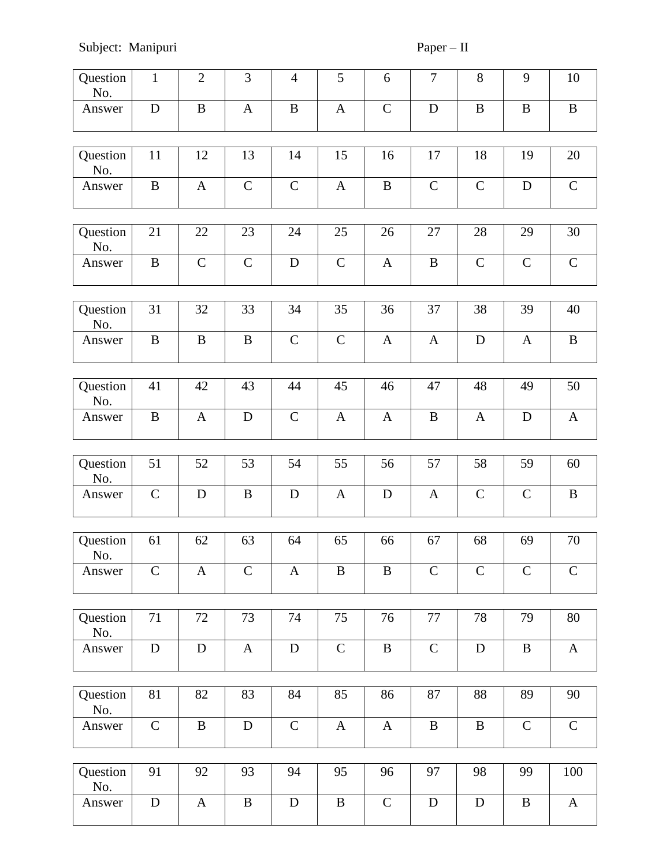| Question<br>No. | $\mathbf{1}$ | $\mathbf{2}$  | 3            | $\overline{4}$ | 5                | 6             | $\tau$        | $8\,$        | 9             | 10           |
|-----------------|--------------|---------------|--------------|----------------|------------------|---------------|---------------|--------------|---------------|--------------|
| Answer          | $\mathbf D$  | $\, {\bf B}$  | A            | $\, {\bf B}$   | $\mathbf{A}$     | $\mathsf{C}$  | D             | $\, {\bf B}$ | $\bf{B}$      | $\, {\bf B}$ |
| Question<br>No. | 11           | 12            | 13           | 14             | 15               | 16            | 17            | 18           | 19            | 20           |
| Answer          | $\bf{B}$     | $\mathbf{A}$  | $\mathbf C$  | $\mathbf C$    | $\mathbf{A}$     | B             | $\mathbf C$   | $\mathbf C$  | D             | $\mathbf C$  |
| Question<br>No. | 21           | 22            | 23           | 24             | 25               | 26            | $27\,$        | 28           | 29            | 30           |
| Answer          | $\bf{B}$     | $\mathcal{C}$ | $\mathbf C$  | $\mathbf D$    | $\mathbf C$      | $\mathbf{A}$  | $\bf{B}$      | $\mathbf C$  | $\mathbf C$   | $\mathbf C$  |
| Question<br>No. | 31           | 32            | 33           | 34             | 35               | 36            | 37            | 38           | 39            | 40           |
| Answer          | $\bf{B}$     | B             | $\bf{B}$     | $\mathbf C$    | $\mathbf C$      | $\mathbf{A}$  | $\mathbf{A}$  | D            | $\mathbf{A}$  | $\, {\bf B}$ |
| Question        | 41           | 42            | 43           | 44             | 45               | 46            | 47            | 48           | 49            | 50           |
| No.             |              |               |              |                |                  |               |               |              |               |              |
| Answer          | $\bf{B}$     | $\mathbf{A}$  | $\mathbf D$  | $\mathsf{C}$   | A                | $\mathbf{A}$  | $\, {\bf B}$  | $\mathbf{A}$ | D             | $\mathbf{A}$ |
| Question        | 51           | 52            | 53           | 54             | 55               | 56            | 57            | 58           | 59            | 60           |
| No.             |              |               |              |                |                  |               |               |              |               |              |
| Answer          | $\mathbf C$  | D             | $\bf{B}$     | D              | A                | D             | A             | $\mathbf C$  | $\mathbf C$   | B            |
| Question        | 61           | 62            | 63           | 64             | 65               | 66            | 67            | 68           | 69            | 70           |
| No.             |              |               |              |                |                  |               |               |              |               |              |
| Answer          | $\mathbf C$  | A             | $\mathbf C$  | $\mathbf{A}$   | $\boldsymbol{B}$ | B             | $\mathcal{C}$ | $\mathbf C$  | $\mathcal{C}$ | $\mathsf{C}$ |
| Question        | 71           | 72            | 73           | 74             | 75               | 76            | 77            | 78           | 79            | 80           |
| No.             |              |               |              |                |                  |               |               |              |               |              |
| Answer          | $\mathbf D$  | $\mathbf D$   | $\mathbf{A}$ | D              | $\mathbf C$      | $\bf{B}$      | $\mathbf C$   | D            | $\bf{B}$      | $\mathbf{A}$ |
| Question        | 81           | 82            | 83           | 84             | 85               | 86            | 87            | 88           | 89            | 90           |
| No.             |              |               |              |                |                  |               |               |              |               |              |
| Answer          | $\mathbf C$  | $\bf{B}$      | $\mathbf D$  | $\mathbf C$    | $\mathbf{A}$     | $\mathbf{A}$  | $\, {\bf B}$  | $\bf{B}$     | $\mathcal{C}$ | $\mathbf C$  |
| Question        | 91           | 92            | 93           | 94             | 95               | 96            | 97            | 98           | 99            | 100          |
| No.             |              |               |              |                |                  |               |               |              |               |              |
| Answer          | D            | $\mathbf{A}$  | $\, {\bf B}$ | D              | $\bf{B}$         | $\mathcal{C}$ | D             | D            | B             | $\mathbf{A}$ |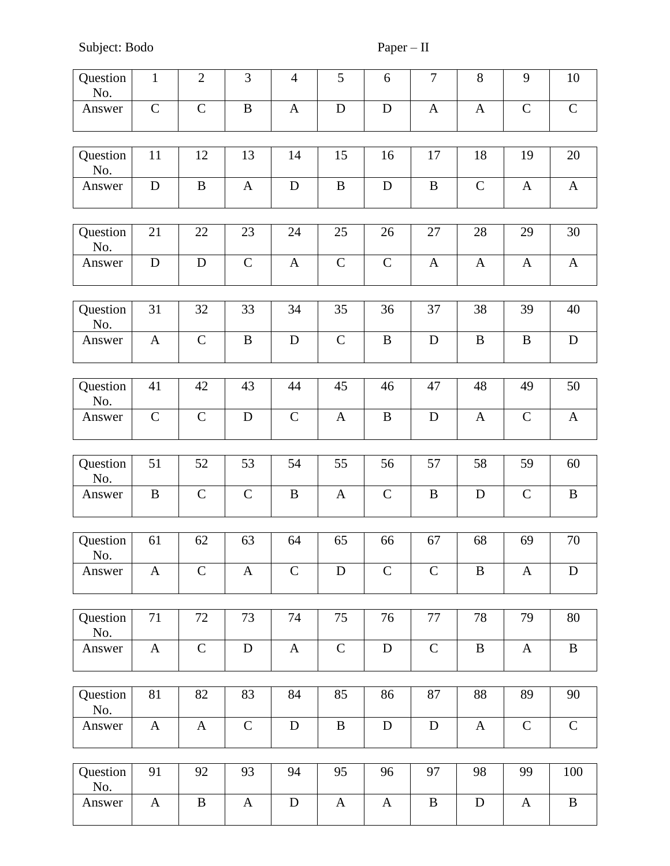Subject: Bodo Paper – II

| Question<br>No. | $\mathbf{1}$ | $\mathbf{2}$  | 3            | $\overline{4}$ | 5            | 6            | $\tau$       | 8            | 9             | 10           |
|-----------------|--------------|---------------|--------------|----------------|--------------|--------------|--------------|--------------|---------------|--------------|
| Answer          | $\mathbf C$  | $\mathcal{C}$ | $\, {\bf B}$ | $\mathbf{A}$   | ${\bf D}$    | $\mathbf D$  | $\mathbf{A}$ | $\mathbf{A}$ | $\mathsf{C}$  | $\mathbf C$  |
| Question<br>No. | 11           | 12            | 13           | 14             | 15           | 16           | 17           | 18           | 19            | 20           |
| Answer          | ${\bf D}$    | $\bf{B}$      | $\mathbf{A}$ | ${\bf D}$      | $\, {\bf B}$ | D            | $\, {\bf B}$ | ${\bf C}$    | $\mathbf{A}$  | $\mathbf{A}$ |
| Question<br>No. | 21           | 22            | 23           | 24             | 25           | 26           | 27           | 28           | 29            | 30           |
| Answer          | $\mathbf D$  | $\mathbf D$   | $\mathsf{C}$ | $\mathbf{A}$   | $\mathbf C$  | $\mathbf C$  | $\mathbf{A}$ | $\mathbf{A}$ | $\mathbf{A}$  | $\mathbf{A}$ |
| Question<br>No. | 31           | 32            | 33           | 34             | 35           | 36           | 37           | 38           | 39            | 40           |
| Answer          | $\mathbf{A}$ | $\mathcal{C}$ | $\, {\bf B}$ | ${\bf D}$      | $\mathbf C$  | $\, {\bf B}$ | ${\bf D}$    | $\, {\bf B}$ | $\, {\bf B}$  | ${\bf D}$    |
| Question<br>No. | 41           | 42            | 43           | 44             | 45           | 46           | 47           | 48           | 49            | 50           |
| Answer          | $\mathbf C$  | $\mathcal{C}$ | ${\bf D}$    | $\mathbf C$    | $\mathbf{A}$ | $\, {\bf B}$ | ${\bf D}$    | $\mathbf{A}$ | $\mathbf C$   | $\mathbf{A}$ |
|                 |              |               |              |                |              |              |              |              |               |              |
| Question<br>No. | 51           | 52            | 53           | 54             | 55           | 56           | 57           | 58           | 59            | 60           |
| Answer          | $\, {\bf B}$ | $\mathcal{C}$ | $\mathbf C$  | $\bf{B}$       | $\mathbf{A}$ | $\mathbf C$  | $\, {\bf B}$ | $\mathbf D$  | $\mathcal{C}$ | $\, {\bf B}$ |
|                 |              |               |              |                |              |              |              |              |               |              |
| Question<br>No. | 61           | 62            | 63           | 64             | 65           | 66           | 67           | 68           | 69            | 70           |
| Answer          | $\mathbf{A}$ | $\mathbf C$   | $\mathbf{A}$ | $\mathbf C$    | $\mathbf D$  | $\mathsf{C}$ | $\mathbf C$  | B            | A             | D            |
|                 |              |               |              |                |              |              |              |              |               |              |
| Question<br>No. | 71           | 72            | 73           | 74             | 75           | 76           | 77           | 78           | 79            | 80           |
| Answer          | $\mathbf{A}$ | $\mathbf C$   | ${\bf D}$    | $\mathbf{A}$   | $\mathbf C$  | D            | $\mathbf C$  | $\bf{B}$     | $\mathbf{A}$  | $\, {\bf B}$ |
|                 |              |               |              |                |              |              |              |              |               |              |
| Question<br>No. | 81           | 82            | 83           | 84             | 85           | 86           | 87           | 88           | 89            | 90           |
| Answer          | $\mathbf{A}$ | $\mathbf{A}$  | $\mathbf C$  | $\mathbf D$    | $\bf{B}$     | D            | $\mathbf D$  | $\mathbf{A}$ | $\mathbf C$   | $\mathbf C$  |
|                 |              |               |              |                |              |              |              |              |               |              |
| Question<br>No. | 91           | 92            | 93           | 94             | 95           | 96           | 97           | 98           | 99            | 100          |
| Answer          | $\mathbf{A}$ | $\, {\bf B}$  | $\mathbf{A}$ | ${\bf D}$      | $\mathbf{A}$ | $\mathbf{A}$ | $\, {\bf B}$ | ${\bf D}$    | $\mathbf{A}$  | $\, {\bf B}$ |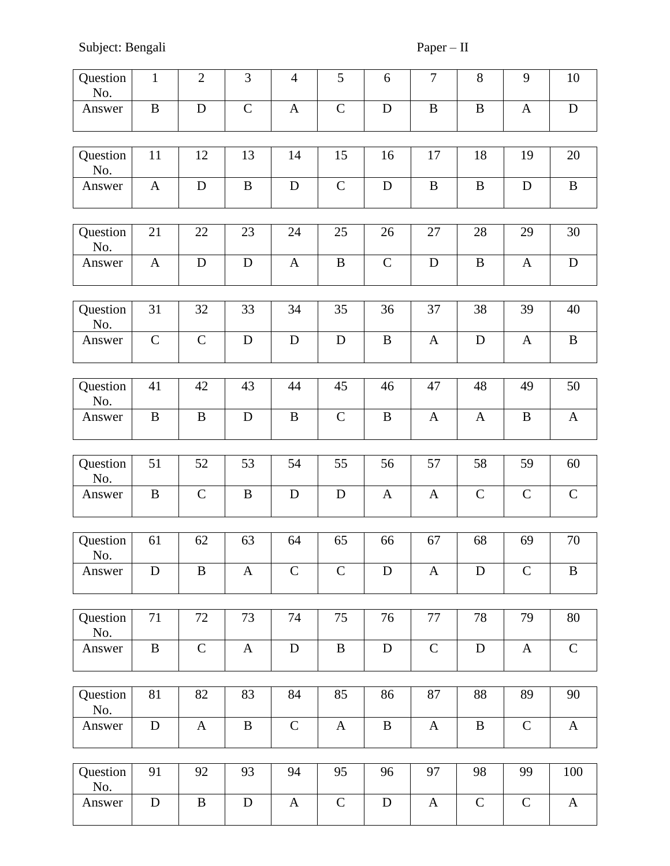Subject: Bengali Paper – II

| Question<br>No. | $\mathbf{1}$  | $\overline{2}$ | 3            | $\overline{4}$ | 5            | 6            | $\overline{7}$ | $8\,$        | 9             | 10           |
|-----------------|---------------|----------------|--------------|----------------|--------------|--------------|----------------|--------------|---------------|--------------|
| Answer          | $\, {\bf B}$  | D              | $\mathbf C$  | $\mathbf{A}$   | $\mathbf C$  | D            | $\bf{B}$       | $\bf{B}$     | $\mathbf{A}$  | ${\bf D}$    |
| Question<br>No. | 11            | 12             | 13           | 14             | 15           | 16           | 17             | 18           | 19            | 20           |
| Answer          | $\mathbf{A}$  | $\mathbf D$    | $\bf{B}$     | $\mathbf D$    | $\mathbf C$  | ${\bf D}$    | $\bf{B}$       | $\, {\bf B}$ | $\mathbf D$   | $\, {\bf B}$ |
|                 |               |                |              |                |              |              |                |              |               |              |
| Question<br>No. | 21            | 22             | 23           | 24             | 25           | 26           | 27             | 28           | 29            | 30           |
| Answer          | $\mathbf{A}$  | $\mathbf D$    | D            | $\mathbf{A}$   | $\, {\bf B}$ | $\mathsf{C}$ | $\mathbf D$    | $\bf{B}$     | $\mathbf{A}$  | ${\bf D}$    |
| Question        | 31            | 32             | 33           | 34             | 35           | 36           | 37             | 38           | 39            | 40           |
| No.             |               |                |              |                |              |              |                |              |               |              |
| Answer          | $\mathcal{C}$ | $\mathbf C$    | $\mathbf D$  | $\mathbf D$    | $\mathbf D$  | $\bf{B}$     | $\mathbf{A}$   | ${\bf D}$    | $\mathbf{A}$  | $\mathbf B$  |
|                 |               |                |              |                |              |              |                |              |               |              |
| Question<br>No. | 41            | 42             | 43           | 44             | 45           | 46           | 47             | 48           | 49            | 50           |
| Answer          | $\bf{B}$      | B              | D            | $\bf{B}$       | $\mathbf C$  | $\bf{B}$     | $\mathbf{A}$   | A            | B             | $\mathbf{A}$ |
|                 |               |                |              |                |              |              |                |              |               |              |
| Question<br>No. | 51            | 52             | 53           | 54             | 55           | 56           | 57             | 58           | 59            | 60           |
| Answer          | $\bf{B}$      | $\mathbf C$    | $\bf{B}$     | D              | $\mathbf D$  | $\mathbf{A}$ | A              | $\mathbf C$  | $\mathbf C$   | $\mathbf C$  |
|                 |               |                |              |                |              |              |                |              |               |              |
| Question<br>No. | 61            | 62             | 63           | 64             | 65           | 66           | 67             | 68           | 69            | 70           |
| Answer          | D             | B              | $\mathbf{A}$ | $\mathbf C$    | $\mathbf C$  | D            | $\mathbf{A}$   | D            | $\mathcal{C}$ | $\bf{B}$     |
|                 |               |                |              |                |              |              |                |              |               |              |
| Question<br>No. | 71            | 72             | 73           | 74             | 75           | 76           | 77             | 78           | 79            | 80           |
| Answer          | $\, {\bf B}$  | $\mathbf C$    | $\mathbf{A}$ | ${\bf D}$      | $\bf{B}$     | $\mathbf D$  | $\mathbf C$    | ${\bf D}$    | $\mathbf{A}$  | $\mathbf C$  |
|                 |               |                |              |                |              |              |                |              |               |              |
| Question<br>No. | 81            | 82             | 83           | 84             | 85           | 86           | 87             | 88           | 89            | 90           |
| Answer          | $\mathbf D$   | $\mathbf{A}$   | $\bf{B}$     | $\mathbf C$    | $\mathbf{A}$ | B            | $\mathbf{A}$   | $\bf{B}$     | $\mathsf{C}$  | $\mathbf{A}$ |
|                 |               |                |              |                |              |              |                |              |               |              |
| Question<br>No. | 91            | 92             | 93           | 94             | 95           | 96           | 97             | 98           | 99            | 100          |
| Answer          | ${\bf D}$     | $\bf{B}$       | ${\bf D}$    | $\mathbf{A}$   | $\mathsf{C}$ | $\mathbf D$  | $\mathbf{A}$   | $\mathbf C$  | $\mathbf C$   | $\mathbf{A}$ |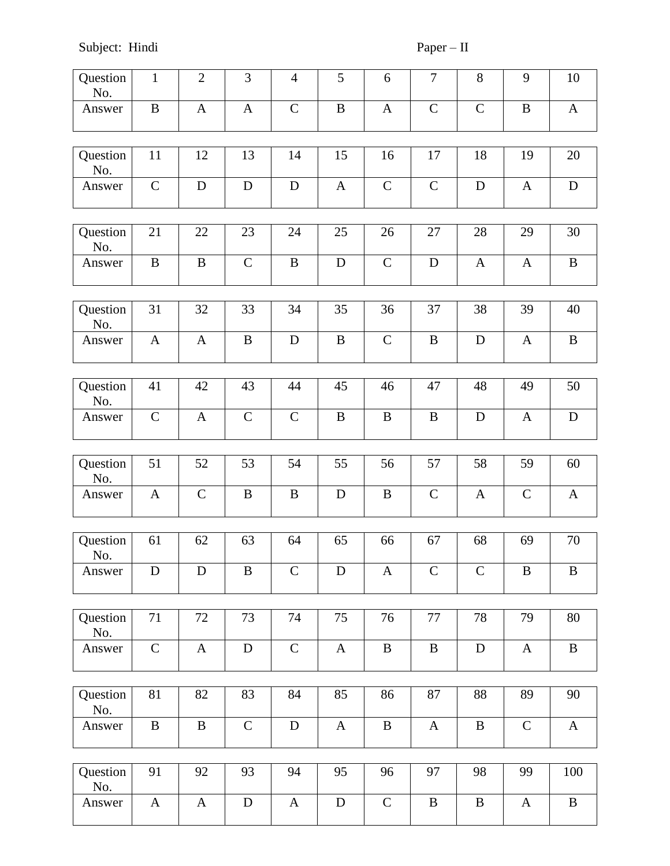Subject: Hindi Paper – II

| Question<br>No. | $\mathbf{1}$ | $\overline{2}$ | 3            | $\overline{4}$ | 5            | 6             | $\tau$       | $8\,$        | 9            | 10           |
|-----------------|--------------|----------------|--------------|----------------|--------------|---------------|--------------|--------------|--------------|--------------|
| Answer          | $\bf{B}$     | $\mathbf{A}$   | $\mathbf{A}$ | $\mathbf C$    | $\bf{B}$     | $\mathbf{A}$  | $\mathbf C$  | $\mathbf C$  | $\bf{B}$     | $\mathbf{A}$ |
| Question<br>No. | 11           | 12             | 13           | 14             | 15           | 16            | 17           | 18           | 19           | 20           |
| Answer          | $\mathbf C$  | $\mathbf D$    | $\mathbf D$  | ${\bf D}$      | $\mathbf{A}$ | $\mathbf C$   | $\mathbf C$  | $\mathbf D$  | $\mathbf{A}$ | ${\bf D}$    |
|                 |              |                |              |                |              |               |              |              |              |              |
| Question<br>No. | 21           | 22             | 23           | 24             | 25           | 26            | 27           | 28           | 29           | 30           |
| Answer          | $\mathbf{B}$ | B              | $\mathsf{C}$ | $\, {\bf B}$   | $\mathbf D$  | $\mathcal{C}$ | D            | $\mathbf{A}$ | $\mathbf{A}$ | $\bf{B}$     |
|                 |              |                |              |                |              |               |              |              |              |              |
| Question<br>No. | 31           | 32             | 33           | 34             | 35           | 36            | 37           | 38           | 39           | 40           |
| Answer          | $\mathbf{A}$ | $\mathbf{A}$   | $\, {\bf B}$ | ${\bf D}$      | $\bf{B}$     | $\mathcal{C}$ | $\bf{B}$     | D            | $\mathbf{A}$ | $\bf{B}$     |
|                 |              |                |              |                |              |               |              |              |              |              |
| Question<br>No. | 41           | 42             | 43           | 44             | 45           | 46            | 47           | 48           | 49           | 50           |
| Answer          | $\mathsf{C}$ | A              | $\mathbf C$  | $\mathsf{C}$   | B            | B             | $\bf{B}$     | D            | $\mathbf{A}$ | $\mathbf D$  |
|                 |              |                |              |                |              |               |              |              |              |              |
| Question<br>No. | 51           | 52             | 53           | 54             | 55           | 56            | 57           | 58           | 59           | 60           |
| Answer          | A            | $\mathbf C$    | $\bf{B}$     | $\, {\bf B}$   | D            | B             | $\mathbf C$  | A            | $\mathbf C$  | $\mathbf{A}$ |
|                 |              |                |              |                |              |               |              |              |              |              |
| Question<br>No. | 61           | 62             | 63           | 64             | 65           | 66            | 67           | 68           | 69           | 70           |
| Answer          | D            | D              | B            | $\mathsf{C}$   | D            | $\mathbf{A}$  | $\mathbf C$  | $\mathbf C$  | B            | $\bf{B}$     |
|                 |              |                |              |                |              |               |              |              |              |              |
| Question<br>No. | 71           | 72             | 73           | 74             | 75           | 76            | 77           | 78           | 79           | 80           |
| Answer          | $\mathbf C$  | $\mathbf{A}$   | $\mathbf D$  | $\mathbf C$    | $\mathbf{A}$ | $\, {\bf B}$  | $\, {\bf B}$ | ${\bf D}$    | $\mathbf{A}$ | $\bf{B}$     |
|                 |              |                |              |                |              |               |              |              |              |              |
| Question<br>No. | 81           | 82             | 83           | 84             | 85           | 86            | 87           | 88           | 89           | 90           |
| Answer          | $\mathbf{B}$ | B              | $\mathbf C$  | $\mathbf D$    | $\mathbf{A}$ | B             | $\mathbf{A}$ | $\bf{B}$     | $\mathbf C$  | $\mathbf{A}$ |
|                 |              |                |              |                |              |               |              |              |              |              |
| Question<br>No. | 91           | 92             | 93           | 94             | 95           | 96            | 97           | 98           | 99           | 100          |
| Answer          | $\mathbf{A}$ | A              | ${\bf D}$    | $\mathbf{A}$   | $\mathbf D$  | $\mathbf C$   | $\bf{B}$     | $\bf{B}$     | A            | $\bf{B}$     |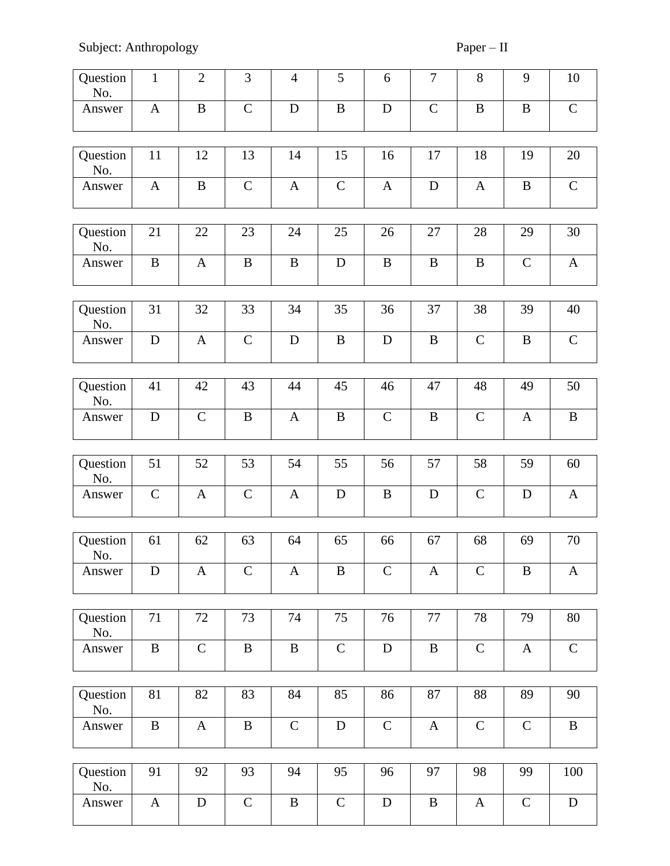| Question<br>No. | $\mathbf{1}$ | $\overline{2}$ | 3            | $\overline{4}$ | 5             | 6            | $\tau$        | 8            | 9             | 10           |
|-----------------|--------------|----------------|--------------|----------------|---------------|--------------|---------------|--------------|---------------|--------------|
| Answer          | $\mathbf{A}$ | $\bf{B}$       | $\mathbf C$  | D              | $\, {\bf B}$  | D            | $\mathcal{C}$ | $\, {\bf B}$ | $\bf{B}$      | $\mathbf C$  |
| Question<br>No. | 11           | 12             | 13           | 14             | 15            | 16           | 17            | 18           | 19            | 20           |
| Answer          | $\mathbf{A}$ | $\bf{B}$       | $\mathbf C$  | $\mathbf{A}$   | $\mathbf C$   | $\mathbf{A}$ | $\mathbf D$   | $\mathbf{A}$ | $\, {\bf B}$  | $\mathbf C$  |
| Question<br>No. | 21           | 22             | 23           | 24             | 25            | 26           | 27            | 28           | 29            | 30           |
| Answer          | $\bf{B}$     | $\mathbf{A}$   | $\bf{B}$     | $\bf{B}$       | D             | B            | $\, {\bf B}$  | B            | $\mathbf C$   | $\mathbf{A}$ |
| Question<br>No. | 31           | 32             | 33           | 34             | 35            | 36           | 37            | 38           | 39            | 40           |
| Answer          | ${\bf D}$    | $\mathbf{A}$   | $\mathbf C$  | D              | $\, {\bf B}$  | D            | $\, {\bf B}$  | $\mathbf C$  | $\, {\bf B}$  | $\mathbf C$  |
| Question        | 41           | 42             | 43           | 44             | 45            | 46           | 47            | 48           | 49            | 50           |
| No.             |              |                |              |                |               |              |               |              |               |              |
| Answer          | D            | $\mathbf C$    | $\, {\bf B}$ | $\mathbf{A}$   | $\bf{B}$      | $\mathsf{C}$ | $\, {\bf B}$  | $\mathbf C$  | $\mathbf{A}$  | $\, {\bf B}$ |
| Question        | 51           | 52             | 53           | 54             | 55            | 56           | 57            | 58           | 59            | 60           |
| No.             |              |                |              |                |               |              |               |              |               |              |
| Answer          | $\mathbf C$  | $\mathbf{A}$   | $\mathsf{C}$ | $\mathbf{A}$   | D             | $\bf{B}$     | $\mathbf D$   | $\mathbf C$  | D             | $\mathbf{A}$ |
| Question<br>No. | 61           | 62             | 63           | 64             | 65            | 66           | 67            | 68           | 69            | 70           |
| Answer          | D            | A              | $\mathbf C$  | $\mathbf{A}$   | B             | $\mathsf{C}$ | $\mathbf{A}$  | $\mathsf{C}$ | $\bf{B}$      | $\mathbf{A}$ |
| Question        | 71           | 72             | 73           | 74             | 75            | 76           | 77            | 78           | 79            | 80           |
| No.             |              |                |              |                |               |              |               |              |               |              |
| Answer          | $\, {\bf B}$ | $\mathbf C$    | $\, {\bf B}$ | $\, {\bf B}$   | $\mathbf C$   | $\mathbf D$  | $\, {\bf B}$  | $\mathbf C$  | $\mathbf{A}$  | $\mathbf C$  |
| Question<br>No. | 81           | 82             | 83           | 84             | 85            | 86           | 87            | 88           | 89            | 90           |
| Answer          | $\bf{B}$     | $\mathbf{A}$   | $\bf{B}$     | $\mathbf C$    | $\mathbf D$   | $\mathsf{C}$ | $\mathbf{A}$  | $\mathbf C$  | $\mathcal{C}$ | $\bf{B}$     |
| Question<br>No. | 91           | 92             | 93           | 94             | 95            | 96           | 97            | 98           | 99            | 100          |
| Answer          | $\mathbf{A}$ | $\mathbf D$    | $\mathsf{C}$ | $\, {\bf B}$   | $\mathcal{C}$ | D            | $\, {\bf B}$  | $\mathbf{A}$ | $\mathsf{C}$  | $\mathbf D$  |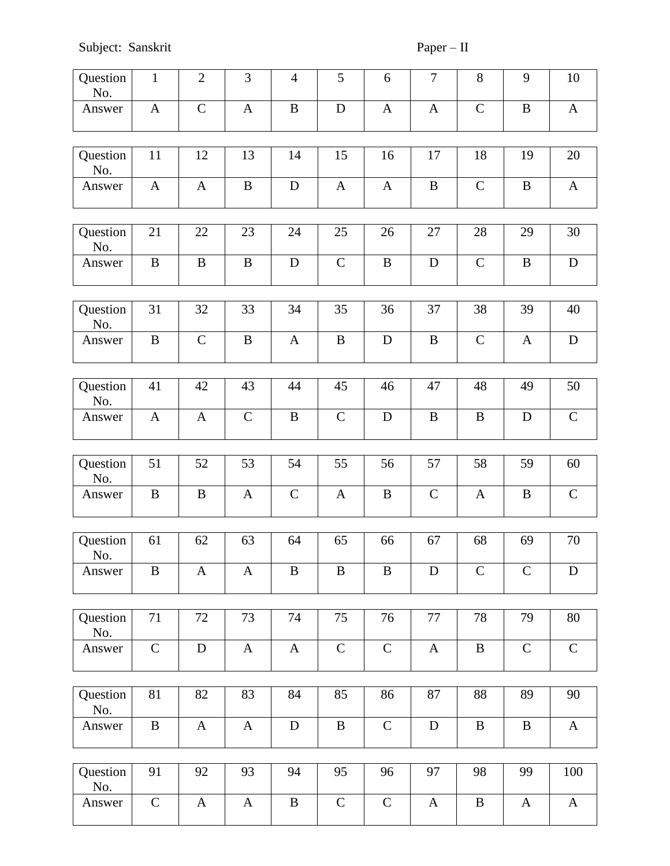Subject: Sanskrit Paper – II

| Question<br>No. | $\mathbf{1}$ | $\mathbf{2}$ | 3            | $\overline{4}$ | 5            | 6            | $\overline{7}$ | $8\,$        | 9            | 10           |
|-----------------|--------------|--------------|--------------|----------------|--------------|--------------|----------------|--------------|--------------|--------------|
| Answer          | $\mathbf{A}$ | $\mathbf C$  | $\mathbf{A}$ | $\bf{B}$       | $\mathbf D$  | $\mathbf{A}$ | $\mathbf{A}$   | $\mathbf C$  | $\bf{B}$     | $\mathbf{A}$ |
| Question<br>No. | 11           | 12           | 13           | 14             | 15           | 16           | 17             | 18           | 19           | 20           |
| Answer          | $\mathbf{A}$ | A            | $\bf{B}$     | ${\bf D}$      | $\mathbf{A}$ | $\mathbf{A}$ | $\, {\bf B}$   | $\mathbf C$  | $\, {\bf B}$ | $\mathbf{A}$ |
| Question<br>No. | 21           | 22           | 23           | 24             | 25           | 26           | 27             | 28           | 29           | 30           |
| Answer          | $\bf{B}$     | $\bf{B}$     | $\bf{B}$     | D              | $\mathsf{C}$ | $\bf{B}$     | $\mathbf D$    | $\mathbf C$  | $\, {\bf B}$ | ${\bf D}$    |
| Question<br>No. | 31           | 32           | 33           | 34             | 35           | 36           | 37             | 38           | 39           | 40           |
| Answer          | $\bf{B}$     | $\mathbf C$  | $\, {\bf B}$ | $\mathbf{A}$   | $\bf{B}$     | $\mathbf D$  | $\bf{B}$       | $\mathbf C$  | $\mathbf{A}$ | $\mathbf D$  |
| Question        | 41           | 42           | 43           | 44             | 45           | 46           | 47             | 48           | 49           | 50           |
| No.             |              |              |              |                |              |              |                |              |              |              |
| Answer          | $\mathbf{A}$ | $\mathbf{A}$ | $\mathbf C$  | $\bf{B}$       | $\mathbf C$  | D            | $\bf{B}$       | B            | D            | $\mathbf C$  |
| Question        | 51           | 52           | 53           | 54             | 55           | 56           | 57             | 58           | 59           | 60           |
| No.             |              |              |              |                |              |              |                |              |              |              |
| Answer          | $\bf{B}$     | B            | $\mathbf{A}$ | $\mathbf C$    | A            | B            | $\mathbf C$    | A            | B            | $\mathbf C$  |
| Question        |              |              |              |                |              |              |                |              |              |              |
| No.             | 61           | 62           | 63           | 64             | 65           | 66           | 67             | 68           | 69           | 70           |
| Answer          | B            | A            | $\mathbf{A}$ | $\bf{B}$       | B            | $\bf{B}$     | D              | $\mathbf C$  | $\mathbf C$  | D            |
|                 |              |              |              |                |              |              |                |              |              |              |
| Question<br>No. | 71           | 72           | 73           | 74             | 75           | 76           | 77             | 78           | 79           | 80           |
| Answer          | $\mathbf C$  | $\mathbf D$  | $\mathbf{A}$ | $\mathbf{A}$   | $\mathbf C$  | $\mathbf C$  | $\mathbf{A}$   | $\bf{B}$     | $\mathsf{C}$ | $\mathbf C$  |
|                 |              |              |              |                |              |              |                |              |              |              |
| Question<br>No. | 81           | 82           | 83           | 84             | 85           | 86           | 87             | 88           | 89           | 90           |
| Answer          | $\, {\bf B}$ | $\mathbf{A}$ | $\mathbf{A}$ | $\mathbf D$    | $\bf{B}$     | $\mathbf C$  | D              | B            | $\bf{B}$     | $\mathbf{A}$ |
| Question        | 91           | 92           | 93           | 94             | 95           | 96           | 97             | 98           | 99           | 100          |
| No.             |              |              |              |                |              |              |                |              |              |              |
| Answer          | $\mathbf C$  | A            | $\mathbf{A}$ | $\, {\bf B}$   | $\mathbf C$  | $\mathbf C$  | $\mathbf{A}$   | $\, {\bf B}$ | A            | $\mathbf{A}$ |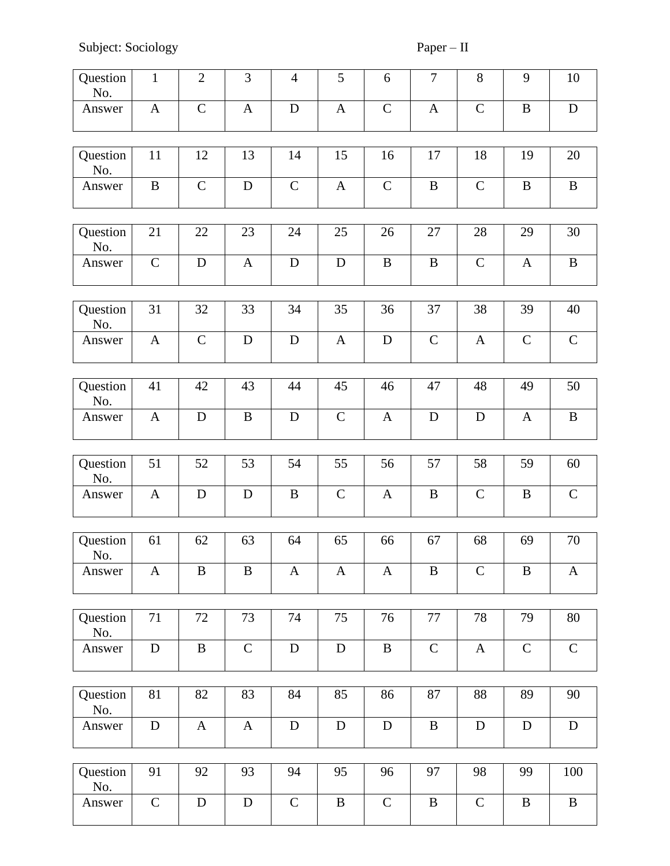Subject: Sociology Paper – II

| Question<br>No. | $\mathbf{1}$ | $\overline{2}$ | 3            | $\overline{4}$ | 5            | 6            | $\overline{7}$ | $8\,$        | 9            | 10           |
|-----------------|--------------|----------------|--------------|----------------|--------------|--------------|----------------|--------------|--------------|--------------|
| Answer          | $\mathbf{A}$ | $\mathcal{C}$  | $\mathbf{A}$ | $\mathbf D$    | $\mathbf{A}$ | $\mathbf C$  | $\mathbf{A}$   | $\mathbf C$  | $\bf{B}$     | $\mathbf D$  |
| Question<br>No. | 11           | 12             | 13           | 14             | 15           | 16           | 17             | 18           | 19           | 20           |
| Answer          | $\bf{B}$     | $\mathcal{C}$  | ${\bf D}$    | $\mathbf C$    | $\mathbf{A}$ | $\mathbf C$  | $\, {\bf B}$   | $\mathbf C$  | $\bf{B}$     | $\bf{B}$     |
| Question<br>No. | 21           | 22             | 23           | 24             | 25           | 26           | 27             | 28           | 29           | 30           |
| Answer          | $\mathbf C$  | $\mathbf D$    | $\mathbf{A}$ | $\mathbf D$    | $\mathbf D$  | $\, {\bf B}$ | $\bf{B}$       | $\mathbf C$  | $\mathbf{A}$ | $\, {\bf B}$ |
| Question<br>No. | 31           | 32             | 33           | 34             | 35           | 36           | 37             | 38           | 39           | 40           |
| Answer          | $\mathbf{A}$ | $\mathbf C$    | $\mathbf D$  | ${\bf D}$      | $\mathbf{A}$ | $\mathbf D$  | $\mathsf{C}$   | $\mathbf{A}$ | $\mathsf{C}$ | $\mathbf C$  |
| Question<br>No. | 41           | 42             | 43           | 44             | 45           | 46           | 47             | 48           | 49           | 50           |
| Answer          | $\mathbf{A}$ | D              | $\bf{B}$     | D              | $\mathbf C$  | $\mathbf{A}$ | $\mathbf D$    | D            | $\mathbf{A}$ | $\bf{B}$     |
| Question        | 51           | 52             | 53           | 54             | 55           | 56           | 57             | 58           | 59           | 60           |
| No.             |              |                |              |                |              |              |                |              |              |              |
| Answer          | $\mathbf{A}$ | D              | $\mathbf D$  | $\bf{B}$       | $\mathbf C$  | $\mathbf{A}$ | $\bf{B}$       | $\mathbf C$  | B            | $\mathbf C$  |
|                 |              |                |              |                |              |              |                |              |              |              |
| Question<br>No. | 61           | 62             | 63           | 64             | 65           | 66           | 67             | 68           | 69           | 70           |
| Answer          | $\mathbf{A}$ | $\, {\bf B}$   | $\, {\bf B}$ | $\mathbf{A}$   | $\mathbf{A}$ | $\mathbf{A}$ | $\, {\bf B}$   | $\mathbf C$  | B            | $\mathbf{A}$ |
|                 |              |                |              |                |              |              |                |              |              |              |
| Question<br>No. | 71           | 72             | 73           | 74             | 75           | 76           | 77             | 78           | 79           | 80           |
| Answer          | ${\bf D}$    | $\, {\bf B}$   | $\mathbf C$  | ${\bf D}$      | ${\bf D}$    | $\, {\bf B}$ | $\mathbf C$    | $\mathbf{A}$ | $\mathsf{C}$ | ${\bf C}$    |
|                 |              |                |              |                |              |              |                |              |              |              |
| Question<br>No. | 81           | 82             | 83           | 84             | 85           | 86           | 87             | 88           | 89           | 90           |
| Answer          | ${\bf D}$    | $\mathbf{A}$   | $\mathbf{A}$ | ${\bf D}$      | $\mathbf D$  | $\mathbf D$  | $\, {\bf B}$   | D            | $\mathbf D$  | $\mathbf D$  |
|                 |              |                |              |                |              |              |                |              |              |              |
| Question<br>No. | 91           | 92             | 93           | 94             | 95           | 96           | 97             | 98           | 99           | 100          |
| Answer          | ${\bf C}$    | ${\bf D}$      | ${\bf D}$    | ${\bf C}$      | $\, {\bf B}$ | $\mathbf C$  | $\, {\bf B}$   | $\mathbf C$  | $\, {\bf B}$ | $\, {\bf B}$ |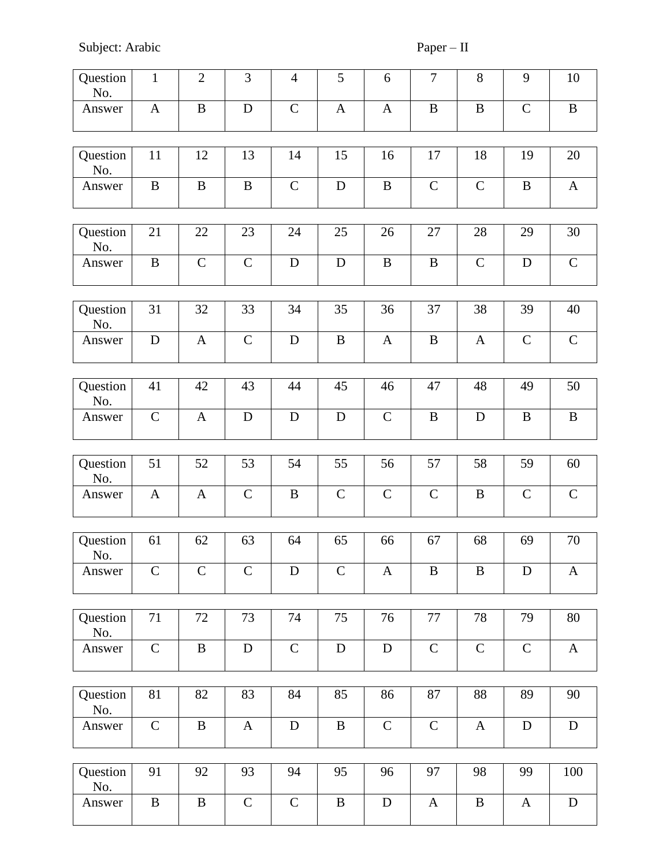Subject: Arabic Paper – II

| Question<br>No. | $\mathbf{1}$ | $\overline{2}$ | 3             | $\overline{4}$ | 5            | 6            | $\overline{7}$ | $8\,$        | 9             | 10           |
|-----------------|--------------|----------------|---------------|----------------|--------------|--------------|----------------|--------------|---------------|--------------|
| Answer          | $\mathbf{A}$ | $\, {\bf B}$   | $\mathbf D$   | ${\bf C}$      | $\mathbf{A}$ | $\mathbf{A}$ | $\, {\bf B}$   | $\, {\bf B}$ | $\mathsf{C}$  | $\, {\bf B}$ |
| Question<br>No. | 11           | 12             | 13            | 14             | 15           | 16           | 17             | 18           | 19            | 20           |
| Answer          | $\, {\bf B}$ | B              | $\, {\bf B}$  | $\mathbf C$    | D            | $\bf{B}$     | $\mathsf C$    | $\mathbf C$  | $\bf{B}$      | $\mathbf{A}$ |
| Question        | 21           | 22             | 23            | 24             | 25           | 26           | 27             | 28           | 29            | 30           |
| No.             |              |                |               |                |              |              |                |              |               |              |
| Answer          | $\, {\bf B}$ | $\mathsf{C}$   | $\mathbf C$   | ${\bf D}$      | ${\bf D}$    | $\, {\bf B}$ | $\bf{B}$       | $\mathbf C$  | ${\bf D}$     | $\mathbf C$  |
| Question        | 31           | 32             | 33            | 34             | 35           | 36           | 37             | 38           | 39            | 40           |
| No.<br>Answer   | ${\bf D}$    | $\mathbf{A}$   | $\mathcal{C}$ | $\mathbf D$    | $\, {\bf B}$ | $\mathbf{A}$ | $\bf{B}$       | $\mathbf{A}$ | $\mathbf C$   | $\mathbf C$  |
|                 |              |                |               |                |              |              |                |              |               |              |
| Question<br>No. | 41           | 42             | 43            | 44             | 45           | 46           | 47             | 48           | 49            | 50           |
| Answer          | $\mathbf C$  | $\mathbf{A}$   | $\mathbf D$   | $\mathbf D$    | D            | $\mathbf C$  | $\bf{B}$       | $\mathbf D$  | $\bf{B}$      | $\, {\bf B}$ |
| Question        | 51           | 52             | 53            | 54             | 55           | 56           | 57             | 58           | 59            | 60           |
| No.             |              |                |               |                |              |              |                |              |               |              |
| Answer          | $\mathbf{A}$ | $\mathbf{A}$   | $\mathbf C$   | $\bf{B}$       | $\mathbf C$  | $\mathbf C$  | $\mathbf C$    | $\bf{B}$     | $\mathcal{C}$ | $\mathbf C$  |
|                 |              |                |               |                |              |              |                |              |               |              |
| Question<br>No. | 61           | 62             | 63            | 64             | 65           | 66           | 67             | 68           | 69            | 70           |
| Answer          | $\mathbf C$  | $\mathbf C$    | $\mathsf{C}$  | D              | $\mathbf C$  | $\mathbf{A}$ | $\bf{B}$       | $\, {\bf B}$ | D             | $\mathbf{A}$ |
|                 |              |                |               |                |              |              |                |              |               |              |
| Question<br>No. | 71           | 72             | 73            | 74             | 75           | 76           | 77             | 78           | 79            | 80           |
| Answer          | $\mathbf C$  | $\bf{B}$       | ${\bf D}$     | $\mathbf C$    | $\mathbf D$  | $\mathbf D$  | ${\bf C}$      | ${\bf C}$    | $\mathbf C$   | $\mathbf{A}$ |
|                 |              |                |               |                |              |              |                |              |               |              |
| Question<br>No. | 81           | 82             | 83            | 84             | 85           | 86           | 87             | 88           | 89            | 90           |
| Answer          | $\mathbf C$  | $\mathbf{B}$   | $\mathbf{A}$  | ${\bf D}$      | $\bf{B}$     | $\mathsf{C}$ | $\mathbf C$    | $\mathbf{A}$ | $\mathbf D$   | ${\bf D}$    |
|                 |              |                |               |                |              |              |                |              |               |              |
| Question<br>No. | 91           | 92             | 93            | 94             | 95           | 96           | 97             | 98           | 99            | 100          |
| Answer          | $\, {\bf B}$ | B              | $\mathbf C$   | $\mathbf C$    | $\, {\bf B}$ | $\mathbf D$  | $\mathbf{A}$   | $\, {\bf B}$ | A             | ${\bf D}$    |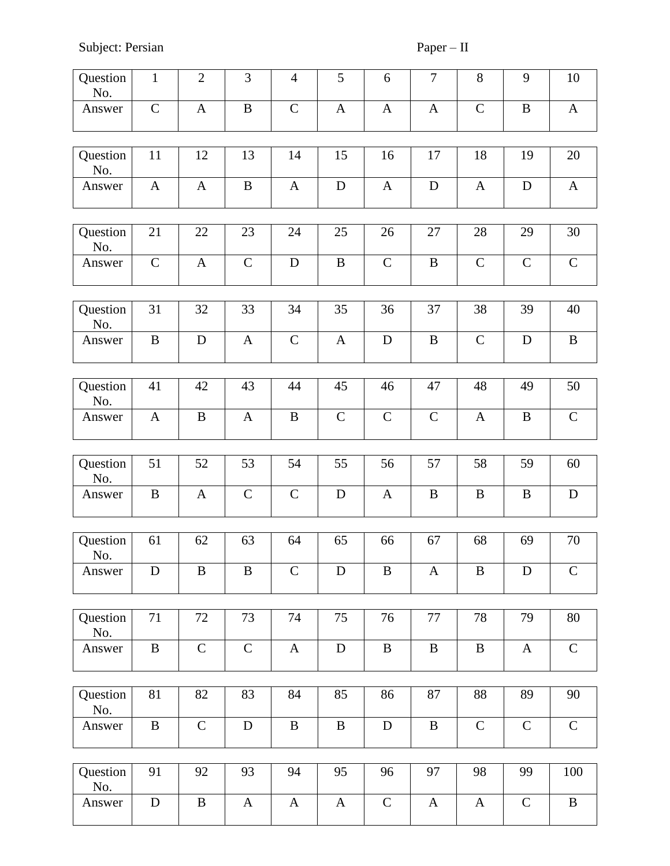Subject: Persian Paper – II

| Question<br>No. | $\mathbf{1}$ | $\overline{2}$ | 3            | $\overline{4}$ | 5            | 6             | $\overline{7}$ | $8\,$            | 9             | 10           |
|-----------------|--------------|----------------|--------------|----------------|--------------|---------------|----------------|------------------|---------------|--------------|
| Answer          | $\mathbf C$  | $\mathbf{A}$   | $\, {\bf B}$ | $\mathbf C$    | $\mathbf{A}$ | $\mathbf{A}$  | $\mathbf{A}$   | $\mathbf C$      | $\bf{B}$      | $\mathbf{A}$ |
| Question<br>No. | 11           | 12             | 13           | 14             | 15           | 16            | 17             | 18               | 19            | 20           |
| Answer          | $\mathbf{A}$ | $\mathbf{A}$   | $\, {\bf B}$ | $\mathbf{A}$   | $\mathbf D$  | $\mathbf{A}$  | $\mathbf D$    | $\mathbf{A}$     | $\mathbf D$   | $\mathbf{A}$ |
| Question<br>No. | 21           | 22             | 23           | 24             | 25           | 26            | 27             | 28               | 29            | 30           |
| Answer          | $\mathbf C$  | $\mathbf{A}$   | $\mathbf C$  | $\mathbf D$    | $\, {\bf B}$ | $\mathbf C$   | $\bf{B}$       | $\mathbf C$      | $\mathsf{C}$  | ${\bf C}$    |
| Question<br>No. | 31           | 32             | 33           | 34             | 35           | 36            | 37             | 38               | 39            | 40           |
| Answer          | $\bf{B}$     | $\mathbf D$    | $\mathbf{A}$ | $\mathbf C$    | $\mathbf{A}$ | D             | $\bf{B}$       | $\mathbf C$      | $\mathbf D$   | $\bf{B}$     |
| Question<br>No. | 41           | 42             | 43           | 44             | 45           | 46            | 47             | 48               | 49            | 50           |
| Answer          | $\mathbf{A}$ | $\bf{B}$       | $\mathbf{A}$ | $\bf{B}$       | $\mathbf C$  | $\mathcal{C}$ | $\mathbf C$    | $\mathbf{A}$     | B             | $\mathbf C$  |
| Question<br>No. | 51           | 52             | 53           | 54             | 55           | 56            | 57             | 58               | 59            | 60           |
| Answer          | $\bf{B}$     | A              | $\mathbf C$  | $\mathbf C$    | D            | $\mathbf{A}$  | $\bf{B}$       | $\bf{B}$         | B             | ${\bf D}$    |
| Question        | 61           | 62             | 63           | 64             | 65           | 66            | 67             | 68               | 69            | 70           |
| No.             |              |                |              |                |              |               |                |                  |               |              |
| Answer          | $\mathbf D$  | $\, {\bf B}$   | $\, {\bf B}$ | $\mathcal{C}$  | $\mathbf D$  | $\, {\bf B}$  | $\mathbf{A}$   | $\boldsymbol{B}$ | $\mathbf D$   | $\mathsf C$  |
| Question<br>No. | 71           | 72             | 73           | 74             | 75           | 76            | 77             | 78               | 79            | 80           |
| Answer          | $\, {\bf B}$ | $\mathbf C$    | $\mathbf C$  | $\mathbf{A}$   | $\mathbf D$  | $\, {\bf B}$  | $\, {\bf B}$   | $\, {\bf B}$     | $\mathbf{A}$  | $\mathbf C$  |
| Question<br>No. | 81           | 82             | 83           | 84             | 85           | 86            | 87             | 88               | 89            | 90           |
| Answer          | $\, {\bf B}$ | $\mathbf C$    | D            | $\bf{B}$       | $\bf{B}$     | $\mathbf D$   | $\, {\bf B}$   | $\mathbf C$      | $\mathcal{C}$ | $\mathbf C$  |
|                 |              |                |              |                |              |               |                |                  |               |              |
| Question<br>No. | 91           | 92             | 93           | 94             | 95           | 96            | 97             | 98               | 99            | 100          |
| Answer          | ${\bf D}$    | $\bf{B}$       | $\mathbf{A}$ | $\mathbf{A}$   | $\mathbf{A}$ | $\mathbf C$   | $\mathbf{A}$   | $\mathbf{A}$     | $\mathbf C$   | $\bf{B}$     |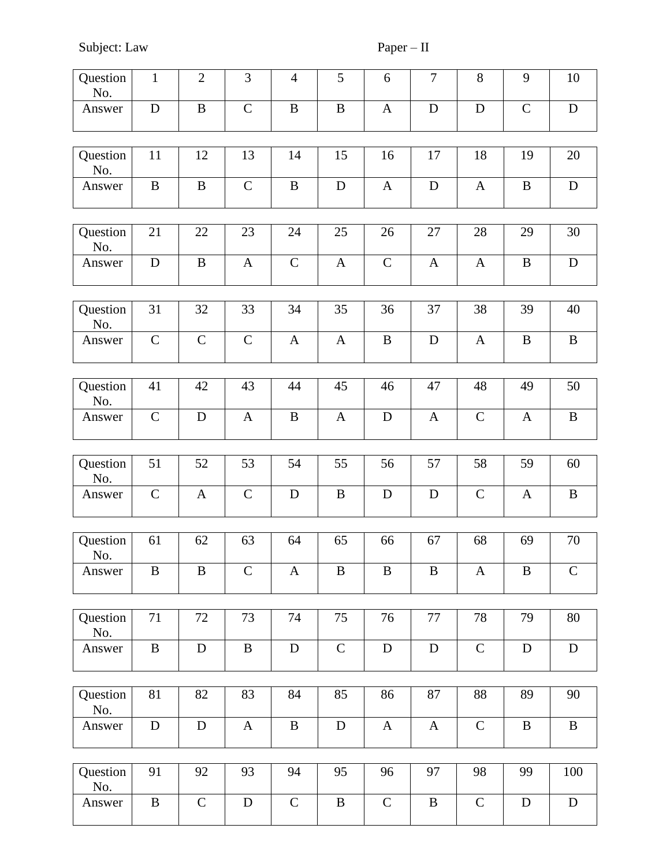Subject: Law Paper – II

| Question<br>No. | $\mathbf{1}$ | $\overline{2}$ | 3            | $\overline{4}$ | 5            | 6             | $\boldsymbol{7}$ | $8\,$        | 9            | 10           |
|-----------------|--------------|----------------|--------------|----------------|--------------|---------------|------------------|--------------|--------------|--------------|
| Answer          | ${\bf D}$    | $\, {\bf B}$   | $\mathbf C$  | $\, {\bf B}$   | $\, {\bf B}$ | $\mathbf{A}$  | $\mathbf D$      | ${\bf D}$    | $\mathbf C$  | ${\bf D}$    |
| Question<br>No. | 11           | 12             | 13           | 14             | 15           | 16            | 17               | 18           | 19           | 20           |
| Answer          | $\, {\bf B}$ | $\bf{B}$       | $\mathbf C$  | $\bf{B}$       | $\mathbf D$  | $\mathbf{A}$  | $\mathbf D$      | $\mathbf{A}$ | $\bf{B}$     | ${\bf D}$    |
| Question<br>No. | 21           | 22             | 23           | 24             | 25           | 26            | 27               | 28           | 29           | 30           |
| Answer          | $\mathbf D$  | $\bf{B}$       | $\mathbf{A}$ | $\mathbf C$    | $\mathbf{A}$ | $\mathbf C$   | $\mathbf{A}$     | $\mathbf{A}$ | $\, {\bf B}$ | ${\bf D}$    |
| Question<br>No. | 31           | 32             | 33           | 34             | 35           | 36            | 37               | 38           | 39           | 40           |
| Answer          | $\mathbf C$  | $\mathcal{C}$  | $\mathbf C$  | $\mathbf{A}$   | $\mathbf{A}$ | $\, {\bf B}$  | ${\bf D}$        | $\mathbf{A}$ | $\, {\bf B}$ | $\, {\bf B}$ |
| Question<br>No. | 41           | 42             | 43           | 44             | 45           | 46            | 47               | 48           | 49           | 50           |
| Answer          | $\mathbf C$  | $\mathbf D$    | $\mathbf{A}$ | $\, {\bf B}$   | $\mathbf{A}$ | $\mathbf D$   | $\mathbf{A}$     | $\mathbf C$  | $\mathbf{A}$ | $\, {\bf B}$ |
| Question<br>No. | 51           | 52             | 53           | 54             | 55           | 56            | 57               | 58           | 59           | 60           |
| Answer          | $\mathbf C$  | $\mathbf{A}$   | $\mathbf C$  | $\mathbf D$    | $\bf{B}$     | $\mathbf D$   | $\mathbf D$      | $\mathbf C$  | $\mathbf{A}$ | $\, {\bf B}$ |
| Question<br>No. | 61           | 62             | 63           | 64             | 65           | 66            | 67               | 68           | 69           | 70           |
| Answer          | B            | B              | $\mathbf C$  | $\mathbf{A}$   | B            | B             | B                | $\mathbf{A}$ | B            | $\mathbf C$  |
| Question<br>No. | 71           | 72             | 73           | 74             | 75           | 76            | 77               | 78           | 79           | 80           |
| Answer          | $\bf{B}$     | $\mathbf D$    | $\, {\bf B}$ | $\mathbf D$    | $\mathbf C$  | ${\bf D}$     | ${\bf D}$        | $\mathbf C$  | $\mathbf D$  | $\mathbf D$  |
| Question<br>No. | 81           | 82             | 83           | 84             | 85           | 86            | 87               | 88           | 89           | 90           |
| Answer          | $\mathbf D$  | $\mathbf D$    | $\mathbf{A}$ | $\bf{B}$       | $\mathbf D$  | $\mathbf{A}$  | $\mathbf{A}$     | $\mathbf C$  | $\bf{B}$     | $\bf{B}$     |
| Question        | 91           | 92             | 93           | 94             | 95           | 96            | 97               | 98           | 99           | 100          |
| No.             |              |                |              |                |              |               |                  |              |              |              |
| Answer          | $\bf{B}$     | $\mathsf{C}$   | $\mathbf D$  | $\mathbf C$    | $\bf{B}$     | $\mathcal{C}$ | $\, {\bf B}$     | $\mathbf C$  | $\mathbf D$  | $\mathbf D$  |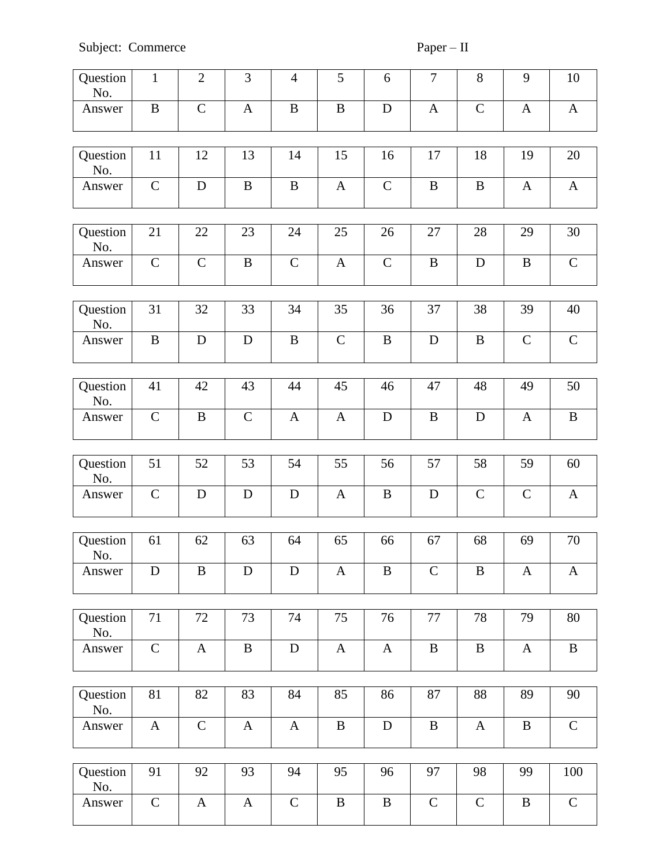| Question<br>No. | $\mathbf{1}$ | $\mathbf{2}$  | 3            | $\overline{4}$ | 5             | 6            | $\tau$        | 8            | 9            | 10           |
|-----------------|--------------|---------------|--------------|----------------|---------------|--------------|---------------|--------------|--------------|--------------|
| Answer          | $\, {\bf B}$ | $\mathsf C$   | $\mathbf{A}$ | $\bf{B}$       | $\bf{B}$      | $\mathbf D$  | $\mathbf{A}$  | $\mathsf{C}$ | $\mathbf{A}$ | $\mathbf{A}$ |
| Question<br>No. | 11           | 12            | 13           | 14             | 15            | 16           | 17            | 18           | 19           | 20           |
| Answer          | $\mathbf C$  | D             | $\bf{B}$     | $\bf{B}$       | $\mathbf{A}$  | $\mathbf C$  | $\, {\bf B}$  | $\bf{B}$     | $\mathbf{A}$ | $\mathbf{A}$ |
| Question<br>No. | 21           | 22            | 23           | 24             | 25            | 26           | 27            | 28           | 29           | 30           |
| Answer          | $\mathbf C$  | $\mathcal{C}$ | $\, {\bf B}$ | $\mathbf C$    | $\mathbf{A}$  | ${\bf C}$    | $\, {\bf B}$  | $\mathbf D$  | $\bf{B}$     | $\mathbf C$  |
| Question<br>No. | 31           | 32            | 33           | 34             | 35            | 36           | 37            | 38           | 39           | 40           |
| Answer          | $\, {\bf B}$ | $\mathbf D$   | $\mathbf D$  | $\, {\bf B}$   | $\mathcal{C}$ | $\, {\bf B}$ | ${\bf D}$     | $\, {\bf B}$ | $\mathbf C$  | $\mathbf C$  |
| Question<br>No. | 41           | 42            | 43           | 44             | 45            | 46           | 47            | 48           | 49           | 50           |
| Answer          | $\mathbf C$  | $\, {\bf B}$  | $\mathbf C$  | $\mathbf{A}$   | $\mathbf{A}$  | $\mathbf D$  | $\, {\bf B}$  | $\mathbf D$  | $\mathbf{A}$ | $\bf{B}$     |
| Question<br>No. | 51           | 52            | 53           | 54             | 55            | 56           | 57            | 58           | 59           | 60           |
| Answer          | $\mathbf C$  | D             | $\mathbf D$  | D              | $\mathbf{A}$  | $\bf{B}$     | D             | $\mathbf C$  | $\mathbf C$  | $\mathbf{A}$ |
| Question<br>No. | 61           | 62            | 63           | 64             | 65            | 66           | 67            | 68           | 69           | 70           |
| Answer          | D            | B             | D            | D              | $\mathbf{A}$  | B            | $\mathcal{C}$ | $\bf{B}$     | A            | $\mathbf{A}$ |
| Question<br>No. | 71           | 72            | 73           | 74             | 75            | 76           | 77            | 78           | 79           | 80           |
| Answer          | $\mathbf C$  | $\mathbf{A}$  | $\, {\bf B}$ | $\mathbf D$    | $\mathbf{A}$  | $\mathbf{A}$ | $\, {\bf B}$  | $\, {\bf B}$ | $\mathbf{A}$ | $\, {\bf B}$ |
| Question<br>No. | 81           | 82            | 83           | 84             | 85            | 86           | 87            | 88           | 89           | 90           |
| Answer          | $\mathbf{A}$ | $\mathbf C$   | $\mathbf{A}$ | $\mathbf{A}$   | $\, {\bf B}$  | $\mathbf D$  | $\, {\bf B}$  | $\mathbf{A}$ | $\, {\bf B}$ | $\mathbf C$  |
| Question<br>No. | 91           | 92            | 93           | 94             | 95            | 96           | 97            | 98           | 99           | 100          |
| Answer          | $\mathbf C$  | $\mathbf{A}$  | $\mathbf{A}$ | $\mathbf C$    | $\bf{B}$      | $\, {\bf B}$ | $\mathbf C$   | $\mathbf C$  | $\bf{B}$     | $\mathbf C$  |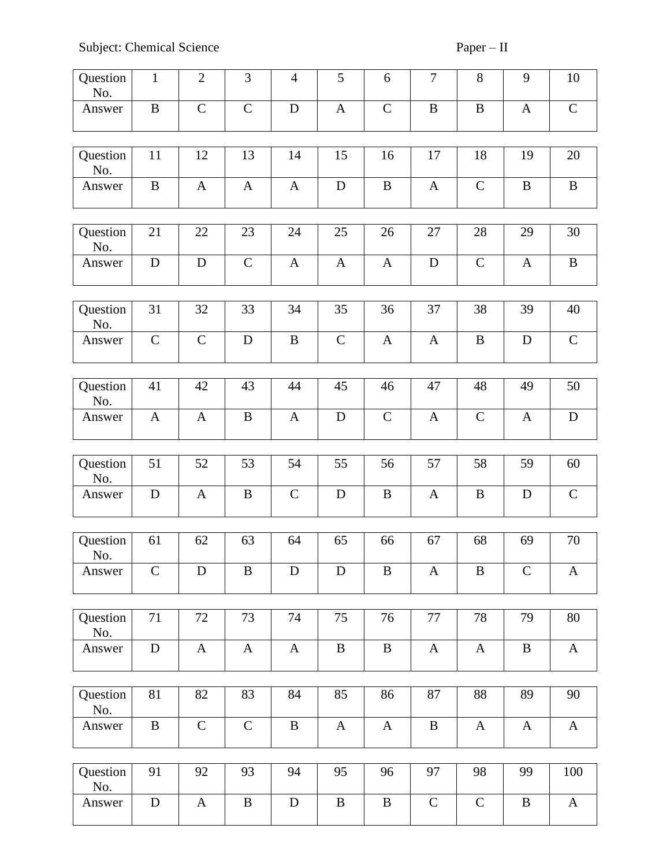| Question<br>No. | $\mathbf{1}$ | $\mathfrak{2}$ | 3            | $\overline{4}$ | 5            | 6            | $\boldsymbol{7}$ | 8            | 9            | 10           |
|-----------------|--------------|----------------|--------------|----------------|--------------|--------------|------------------|--------------|--------------|--------------|
| Answer          | $\bf{B}$     | $\mathcal{C}$  | $\mathbf C$  | $\mathbf D$    | $\mathbf{A}$ | $\mathbf C$  | $\, {\bf B}$     | $\, {\bf B}$ | A            | $\mathbf C$  |
| Question<br>No. | 11           | 12             | 13           | 14             | 15           | 16           | 17               | 18           | 19           | 20           |
| Answer          | $\bf{B}$     | $\mathbf{A}$   | $\mathbf{A}$ | $\mathbf{A}$   | D            | $\bf{B}$     | $\mathbf{A}$     | $\mathbf C$  | $\, {\bf B}$ | $\, {\bf B}$ |
| Question<br>No. | 21           | 22             | 23           | 24             | 25           | 26           | 27               | 28           | 29           | 30           |
| Answer          | D            | D              | $\mathbf C$  | $\mathbf{A}$   | $\mathbf{A}$ | $\mathbf{A}$ | D                | $\mathbf C$  | A            | $\, {\bf B}$ |
| Question<br>No. | 31           | 32             | 33           | 34             | 35           | 36           | 37               | 38           | 39           | 40           |
| Answer          | $\mathbf C$  | $\mathcal{C}$  | D            | $\, {\bf B}$   | $\mathbf C$  | $\mathbf{A}$ | $\mathbf{A}$     | $\, {\bf B}$ | D            | $\mathbf C$  |
| Question        | 41           | 42             | 43           | 44             | 45           | 46           | 47               | 48           | 49           | 50           |
| No.             |              |                |              |                |              |              |                  |              |              |              |
| Answer          | $\mathbf{A}$ | $\mathbf{A}$   | $\bf{B}$     | $\mathbf{A}$   | $\mathbf D$  | $\mathbf C$  | $\mathbf{A}$     | $\mathbf C$  | $\mathbf{A}$ | $\mathbf D$  |
| Question        | 51           | 52             | 53           | 54             | 55           | 56           | 57               | 58           | 59           | 60           |
| No.             |              |                |              |                |              |              |                  |              |              |              |
| Answer          | D            | $\mathbf{A}$   | $\, {\bf B}$ | $\mathbf C$    | D            | $\bf{B}$     | $\mathbf{A}$     | $\bf{B}$     | D            | $\mathbf C$  |
| Question        | 61           | 62             | 63           | 64             | 65           | 66           | 67               | 68           | 69           | 70           |
| No.             |              |                |              |                |              |              |                  |              |              |              |
| Answer          | $\mathsf{C}$ | D              | $\bf{B}$     | D              | D            | B            | $\mathbf{A}$     | $\bf{B}$     | $\mathsf{C}$ | $\mathbf{A}$ |
| Question        | 71           | 72             | 73           | 74             | 75           | 76           | 77               | 78           | 79           | 80           |
| No.<br>Answer   | ${\bf D}$    | $\mathbf{A}$   | $\mathbf{A}$ | $\mathbf{A}$   | $\, {\bf B}$ | $\, {\bf B}$ | $\mathbf{A}$     | $\mathbf{A}$ | $\, {\bf B}$ | $\mathbf{A}$ |
|                 |              |                |              |                |              |              |                  |              |              |              |
| Question<br>No. | 81           | 82             | 83           | 84             | 85           | 86           | 87               | 88           | 89           | 90           |
| Answer          | $\bf{B}$     | $\mathsf{C}$   | $\mathbf C$  | $\bf{B}$       | $\mathbf{A}$ | $\mathbf{A}$ | $\bf{B}$         | $\mathbf{A}$ | A            | $\mathbf{A}$ |
| Question<br>No. | 91           | 92             | 93           | 94             | 95           | 96           | 97               | 98           | 99           | 100          |
| Answer          | ${\bf D}$    | $\mathbf{A}$   | $\, {\bf B}$ | ${\bf D}$      | $\bf{B}$     | $\bf{B}$     | $\mathbf C$      | $\mathbf C$  | $\bf{B}$     | $\mathbf{A}$ |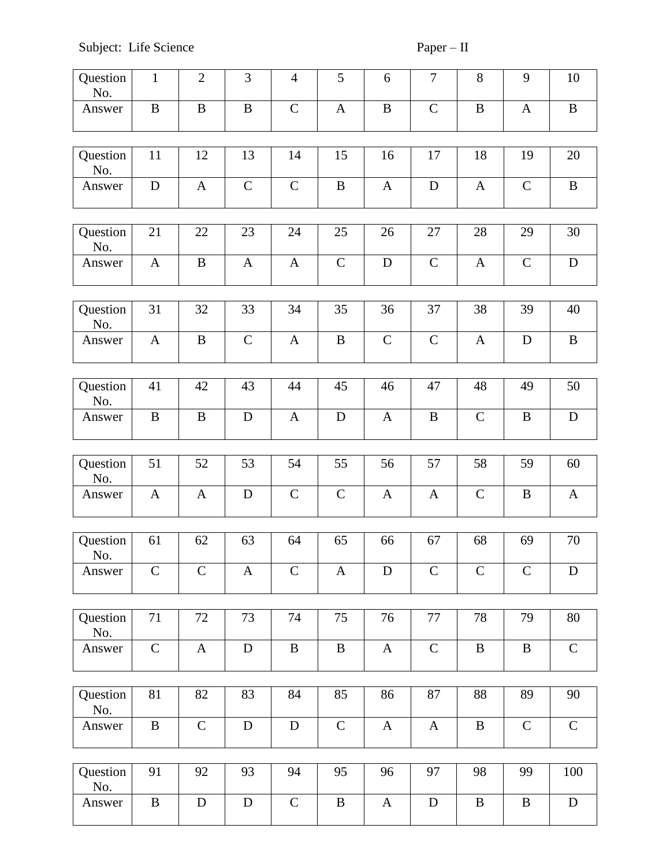| Question<br>No. | $\mathbf{1}$ | $\overline{2}$ | 3            | $\overline{4}$ | 5            | 6            | $\boldsymbol{7}$ | $8\,$         | 9             | 10           |
|-----------------|--------------|----------------|--------------|----------------|--------------|--------------|------------------|---------------|---------------|--------------|
| Answer          | $\, {\bf B}$ | $\, {\bf B}$   | $\, {\bf B}$ | $\mathsf{C}$   | $\mathbf{A}$ | $\, {\bf B}$ | $\mathbf C$      | $\, {\bf B}$  | $\mathbf{A}$  | $\, {\bf B}$ |
| Question<br>No. | 11           | 12             | 13           | 14             | 15           | 16           | 17               | 18            | 19            | 20           |
| Answer          | $\mathbf D$  | $\mathbf{A}$   | $\mathbf C$  | $\mathbf C$    | $\, {\bf B}$ | $\mathbf{A}$ | $\mathbf D$      | $\mathbf{A}$  | $\mathbf C$   | $\, {\bf B}$ |
| Question<br>No. | 21           | 22             | 23           | 24             | 25           | 26           | 27               | 28            | 29            | 30           |
| Answer          | $\mathbf{A}$ | $\, {\bf B}$   | $\mathbf{A}$ | $\mathbf{A}$   | $\mathbf C$  | $\mathbf D$  | $\mathbf C$      | $\mathbf{A}$  | $\mathbf C$   | ${\bf D}$    |
| Question<br>No. | 31           | 32             | 33           | 34             | 35           | 36           | 37               | 38            | 39            | 40           |
| Answer          | $\mathbf{A}$ | $\bf{B}$       | $\mathbf C$  | $\mathbf{A}$   | $\, {\bf B}$ | $\mathbf C$  | $\mathsf{C}$     | $\mathbf{A}$  | $\mathbf D$   | $\, {\bf B}$ |
| Question<br>No. | 41           | 42             | 43           | 44             | 45           | 46           | 47               | 48            | 49            | 50           |
| Answer          | $\bf{B}$     | $\bf{B}$       | $\mathbf D$  | $\mathbf{A}$   | $\mathbf D$  | $\mathbf{A}$ | $\, {\bf B}$     | $\mathbf C$   | $\bf{B}$      | $\mathbf D$  |
|                 |              |                |              |                |              |              |                  |               |               |              |
| Question<br>No. | 51           | 52             | 53           | 54             | 55           | 56           | 57               | 58            | 59            | 60           |
| Answer          | $\mathbf{A}$ | $\mathbf{A}$   | $\mathbf D$  | $\mathbf C$    | $\mathbf C$  | $\mathbf{A}$ | $\mathbf{A}$     | $\mathbf C$   | $\bf{B}$      | $\mathbf{A}$ |
| Question<br>No. | 61           | 62             | 63           | 64             | 65           | 66           | 67               | 68            | 69            | 70           |
| Answer          | $\mathbf C$  | $\mathbf C$    | $\mathbf{A}$ | $\mathcal{C}$  | $\mathbf{A}$ | D            | $\mathcal{C}$    | $\mathcal{C}$ | $\mathbf C$   | $\mathbf D$  |
|                 |              |                |              |                |              |              |                  |               |               |              |
| Question<br>No. | 71           | 72             | 73           | 74             | 75           | 76           | $77\,$           | 78            | 79            | 80           |
| Answer          | $\mathsf{C}$ | $\mathbf{A}$   | ${\bf D}$    | $\, {\bf B}$   | $\, {\bf B}$ | $\mathbf{A}$ | ${\bf C}$        | $\, {\bf B}$  | $\, {\bf B}$  | $\mathbf C$  |
| Question<br>No. | 81           | 82             | 83           | 84             | 85           | 86           | 87               | 88            | 89            | 90           |
| Answer          | $\, {\bf B}$ | $\mathbf C$    | $\mathbf D$  | ${\bf D}$      | $\mathbf C$  | $\mathbf{A}$ | $\mathbf{A}$     | $\, {\bf B}$  | $\mathcal{C}$ | $\mathbf C$  |
| Question<br>No. | 91           | 92             | 93           | 94             | 95           | 96           | 97               | 98            | 99            | 100          |
| Answer          | $\, {\bf B}$ | ${\bf D}$      | $\mathbf D$  | $\mathbf C$    | $\, {\bf B}$ | $\mathbf{A}$ | $\mathbf D$      | $\bf{B}$      | B             | ${\bf D}$    |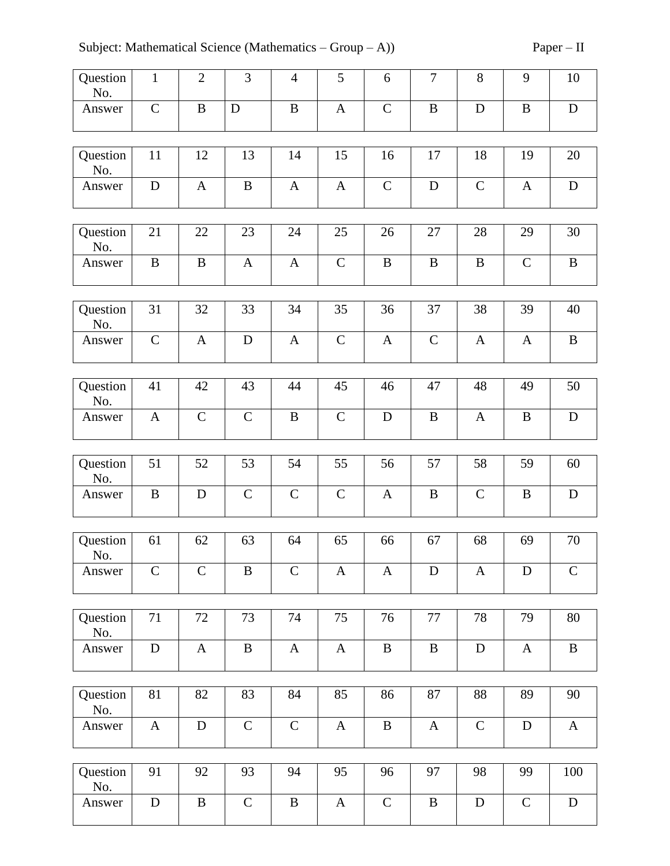| Question<br>No. | $\mathbf{1}$ | $\overline{2}$ | $\overline{3}$ | $\overline{4}$ | 5             | 6            | $\tau$       | 8            | 9            | 10           |
|-----------------|--------------|----------------|----------------|----------------|---------------|--------------|--------------|--------------|--------------|--------------|
| Answer          | ${\bf C}$    | $\, {\bf B}$   | $\mathbf D$    | $\, {\bf B}$   | $\mathbf{A}$  | $\mathbf C$  | $\, {\bf B}$ | ${\bf D}$    | $\, {\bf B}$ | ${\bf D}$    |
| Question<br>No. | 11           | 12             | 13             | 14             | 15            | 16           | 17           | 18           | 19           | 20           |
| Answer          | ${\bf D}$    | $\mathbf{A}$   | $\bf{B}$       | $\mathbf{A}$   | $\mathbf{A}$  | $\mathbf C$  | $\mathbf D$  | $\mathbf C$  | $\mathbf{A}$ | ${\bf D}$    |
| Question<br>No. | 21           | 22             | 23             | 24             | 25            | 26           | 27           | 28           | 29           | 30           |
| Answer          | $\, {\bf B}$ | $\, {\bf B}$   | $\mathbf{A}$   | $\mathbf{A}$   | $\mathbf C$   | $\, {\bf B}$ | $\, {\bf B}$ | $\, {\bf B}$ | $\mathbf C$  | $\, {\bf B}$ |
| Question<br>No. | 31           | 32             | 33             | 34             | 35            | 36           | 37           | 38           | 39           | 40           |
| Answer          | $\mathbf C$  | $\mathbf{A}$   | $\mathbf D$    | $\mathbf{A}$   | $\mathbf C$   | $\mathbf{A}$ | $\mathbf C$  | $\mathbf{A}$ | $\mathbf{A}$ | $\, {\bf B}$ |
|                 |              |                |                |                |               |              |              |              |              |              |
| Question<br>No. | 41           | 42             | 43             | 44             | 45            | 46           | 47           | 48           | 49           | 50           |
| Answer          | $\mathbf{A}$ | $\mathbf C$    | $\mathbf C$    | $\, {\bf B}$   | $\mathbf C$   | $\mathbf D$  | $\, {\bf B}$ | $\mathbf{A}$ | $\bf{B}$     | $\mathbf D$  |
| Question        | 51           | 52             | 53             | 54             | 55            | 56           | 57           | 58           | 59           | 60           |
| No.             |              |                |                |                |               |              |              |              |              |              |
| Answer          | B            | D              | $\mathbf C$    | $\mathbf C$    | $\mathcal{C}$ | $\mathbf{A}$ | $\, {\bf B}$ | $\mathsf{C}$ | B            | ${\bf D}$    |
|                 |              |                |                |                |               |              |              |              |              |              |
| Question<br>No. | 61           | 62             | 63             | 64             | 65            | 66           | 67           | 68           | 69           | 70           |
| Answer          | $\mathbf C$  | $\mathcal{C}$  | $\bf{B}$       | $\mathbf C$    | $\mathbf{A}$  | $\mathbf{A}$ | $\mathbf D$  | $\mathbf{A}$ | D            | $\mathbf C$  |
|                 |              |                |                |                |               |              |              |              |              |              |
| Question<br>No. | 71           | 72             | 73             | 74             | 75            | 76           | $77\,$       | 78           | 79           | 80           |
| Answer          | ${\bf D}$    | $\mathbf{A}$   | $\, {\bf B}$   | $\mathbf{A}$   | $\mathbf{A}$  | $\, {\bf B}$ | $\, {\bf B}$ | ${\bf D}$    | $\mathbf{A}$ | $\, {\bf B}$ |
|                 |              |                |                |                |               |              |              |              |              |              |
| Question<br>No. | 81           | 82             | 83             | 84             | 85            | 86           | 87           | 88           | 89           | 90           |
| Answer          | $\mathbf{A}$ | $\mathbf D$    | $\mathbf C$    | $\mathbf C$    | $\mathbf{A}$  | $\, {\bf B}$ | $\mathbf{A}$ | $\mathbf C$  | $\mathbf D$  | $\mathbf{A}$ |
|                 |              |                |                |                |               |              |              |              |              |              |
| Question<br>No. | 91           | 92             | 93             | 94             | 95            | 96           | 97           | 98           | 99           | 100          |
| Answer          | ${\bf D}$    | $\, {\bf B}$   | $\mathbf C$    | $\, {\bf B}$   | $\mathbf{A}$  | $\mathbf C$  | $\, {\bf B}$ | ${\bf D}$    | $\mathbf C$  | ${\bf D}$    |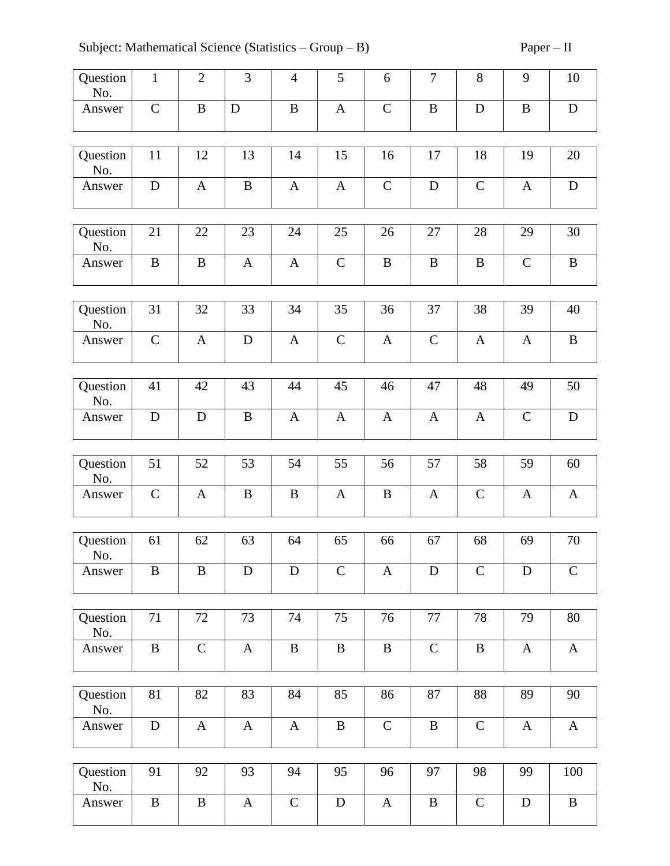| Question<br>No. | $\mathbf{1}$ | $\overline{2}$ | 3            | $\overline{4}$ | 5             | 6            | $\boldsymbol{7}$ | 8            | 9            | 10           |
|-----------------|--------------|----------------|--------------|----------------|---------------|--------------|------------------|--------------|--------------|--------------|
| Answer          | $\mathbf C$  | $\bf{B}$       | $\mathbf D$  | $\bf{B}$       | $\mathbf{A}$  | $\mathsf{C}$ | $\, {\bf B}$     | D            | $\bf{B}$     | D            |
| Question<br>No. | 11           | 12             | 13           | 14             | 15            | 16           | 17               | 18           | 19           | 20           |
| Answer          | $\mathbf D$  | $\mathbf{A}$   | $\, {\bf B}$ | $\mathbf{A}$   | $\mathbf{A}$  | $\mathbf C$  | ${\bf D}$        | $\mathbf C$  | $\mathbf{A}$ | ${\bf D}$    |
| Question<br>No. | 21           | 22             | 23           | 24             | 25            | 26           | 27               | 28           | 29           | 30           |
| Answer          | $\, {\bf B}$ | $\, {\bf B}$   | $\mathbf{A}$ | $\mathbf{A}$   | $\mathbf C$   | $\, {\bf B}$ | $\, {\bf B}$     | $\, {\bf B}$ | $\mathbf C$  | $\, {\bf B}$ |
| Question<br>No. | 31           | 32             | 33           | 34             | 35            | 36           | 37               | 38           | 39           | 40           |
| Answer          | $\mathbf C$  | $\mathbf{A}$   | $\mathbf D$  | $\mathbf{A}$   | $\mathsf{C}$  | $\mathbf{A}$ | $\mathcal{C}$    | $\mathbf{A}$ | $\mathbf{A}$ | $\, {\bf B}$ |
| Question        | 41           | 42             | 43           | 44             | 45            | 46           | 47               | 48           | 49           | 50           |
| No.             |              |                |              |                |               |              |                  |              |              |              |
| Answer          | $\mathbf D$  | D              | $\bf{B}$     | $\mathbf{A}$   | $\mathbf{A}$  | $\mathbf{A}$ | $\mathbf{A}$     | A            | $\mathbf C$  | $\mathbf D$  |
|                 |              |                |              |                |               |              |                  |              |              |              |
| Question<br>No. | 51           | 52             | 53           | 54             | 55            | 56           | 57               | 58           | 59           | 60           |
| Answer          | $\mathbf C$  | $\mathbf{A}$   | $\bf{B}$     | $\, {\bf B}$   | $\mathbf{A}$  | B            | $\mathbf{A}$     | $\mathbf C$  | $\mathbf{A}$ | $\mathbf{A}$ |
| Question<br>No. | 61           | 62             | 63           | 64             | 65            | 66           | 67               | 68           | 69           | 70           |
| Answer          | $\, {\bf B}$ | $\, {\bf B}$   | D            | $\mathbf D$    | $\mathcal{C}$ | $\mathbf{A}$ | ${\bf D}$        | $\mathbf C$  | $\mathbf D$  | $\mathsf{C}$ |
|                 |              |                |              |                |               |              |                  |              |              |              |
| Question<br>No. | 71           | 72             | 73           | 74             | 75            | 76           | 77               | 78           | 79           | $80\,$       |
| Answer          | $\, {\bf B}$ | $\mathbf C$    | $\mathbf{A}$ | $\, {\bf B}$   | $\, {\bf B}$  | $\, {\bf B}$ | $\mathbf C$      | $\, {\bf B}$ | $\mathbf{A}$ | $\mathbf{A}$ |
| Question        | 81           | 82             | 83           | 84             | 85            | 86           | 87               | 88           | 89           | 90           |
| No.             |              |                |              |                |               |              |                  |              |              |              |
| Answer          | ${\bf D}$    | $\mathbf{A}$   | $\mathbf{A}$ | $\mathbf{A}$   | B             | $\mathbf C$  | $\, {\bf B}$     | $\mathbf C$  | $\mathbf{A}$ | $\mathbf{A}$ |
| Question<br>No. | 91           | 92             | 93           | 94             | 95            | 96           | 97               | 98           | 99           | 100          |
| Answer          | $\, {\bf B}$ | $\, {\bf B}$   | $\mathbf{A}$ | $\mathbf C$    | ${\bf D}$     | $\mathbf{A}$ | $\, {\bf B}$     | $\mathbf C$  | ${\bf D}$    | $\, {\bf B}$ |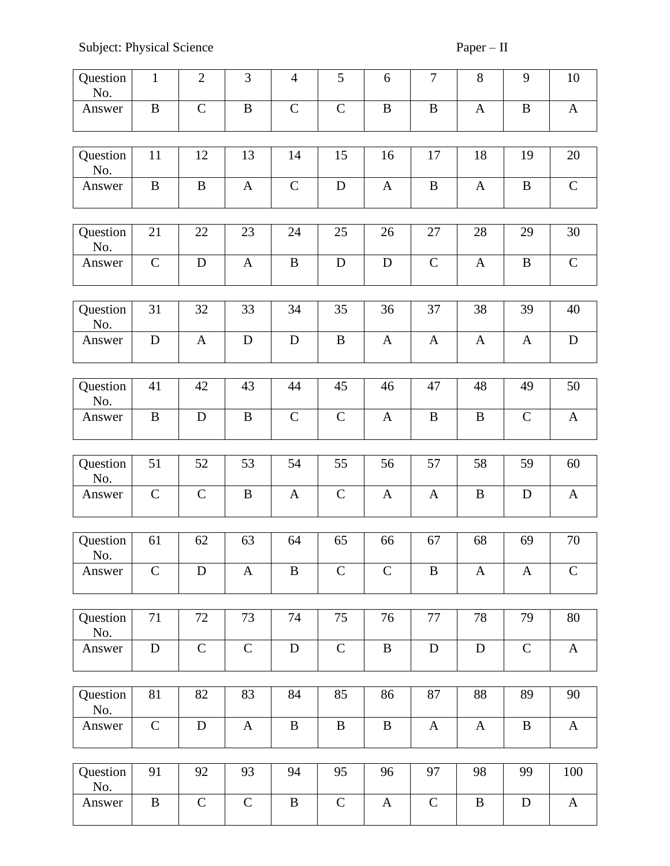| Question<br>No. | $\mathbf{1}$ | $\mathfrak{2}$ | 3            | $\overline{4}$ | 5             | 6            | $\tau$       | $8\,$        | 9             | 10           |
|-----------------|--------------|----------------|--------------|----------------|---------------|--------------|--------------|--------------|---------------|--------------|
| Answer          | $\, {\bf B}$ | $\mathcal{C}$  | $\, {\bf B}$ | $\mathbf C$    | $\mathcal{C}$ | $\bf{B}$     | $\bf{B}$     | $\mathbf{A}$ | $\bf{B}$      | $\mathbf{A}$ |
| Question<br>No. | 11           | 12             | 13           | 14             | 15            | 16           | 17           | 18           | 19            | 20           |
| Answer          | $\bf{B}$     | $\bf{B}$       | $\mathbf{A}$ | $\mathbf C$    | $\mathbf D$   | $\mathbf{A}$ | $\, {\bf B}$ | $\mathbf{A}$ | $\bf{B}$      | $\mathbf C$  |
| Question<br>No. | 21           | 22             | 23           | 24             | 25            | 26           | 27           | 28           | 29            | 30           |
| Answer          | $\mathbf C$  | D              | $\mathbf{A}$ | B              | D             | D            | $\mathbf C$  | $\mathbf{A}$ | B             | $\mathbf C$  |
| Question<br>No. | 31           | 32             | 33           | 34             | 35            | 36           | 37           | 38           | 39            | 40           |
| Answer          | ${\bf D}$    | $\mathbf{A}$   | D            | $\mathbf D$    | $\, {\bf B}$  | $\mathbf{A}$ | $\mathbf{A}$ | $\mathbf{A}$ | $\mathbf{A}$  | ${\bf D}$    |
| Question<br>No. | 41           | 42             | 43           | 44             | 45            | 46           | 47           | 48           | 49            | 50           |
| Answer          | $\bf{B}$     | $\mathbf D$    | $\, {\bf B}$ | $\mathbf C$    | $\mathbf C$   | $\mathbf{A}$ | $\, {\bf B}$ | B            | $\mathcal{C}$ | $\mathbf{A}$ |
| Question<br>No. | 51           | 52             | 53           | 54             | 55            | 56           | 57           | 58           | 59            | 60           |
| Answer          | $\mathsf{C}$ | $\mathbf C$    | $\, {\bf B}$ | $\mathbf{A}$   | $\mathsf{C}$  | $\mathbf{A}$ | $\mathbf{A}$ | $\bf{B}$     | D             | $\mathbf{A}$ |
| Question<br>No. | 61           | 62             | 63           | 64             | 65            | 66           | 67           | 68           | 69            | 70           |
| Answer          | $\mathbf C$  | D              | $\mathbf{A}$ | B              | $\mathbf C$   | $\mathsf{C}$ | $\, {\bf B}$ | $\mathbf{A}$ | A             | $\mathsf{C}$ |
| Question<br>No. | 71           | 72             | 73           | 74             | 75            | 76           | 77           | 78           | 79            | 80           |
| Answer          | ${\bf D}$    | $\mathbf C$    | $\mathbf C$  | $\mathbf D$    | $\mathbf C$   | $\, {\bf B}$ | $\mathbf D$  | ${\bf D}$    | $\mathbf C$   | $\mathbf{A}$ |
| Question<br>No. | 81           | 82             | 83           | 84             | 85            | 86           | 87           | 88           | 89            | 90           |
| Answer          | $\mathbf C$  | $\mathbf D$    | $\mathbf{A}$ | $\bf{B}$       | $\bf{B}$      | $\bf{B}$     | $\mathbf{A}$ | $\mathbf{A}$ | $\bf{B}$      | $\mathbf{A}$ |
| Question<br>No. | 91           | 92             | 93           | 94             | 95            | 96           | 97           | 98           | 99            | 100          |
| Answer          | $\bf{B}$     | $\mathsf{C}$   | $\mathsf{C}$ | $\bf{B}$       | $\mathbf C$   | $\mathbf{A}$ | $\mathsf{C}$ | $\bf{B}$     | D             | $\mathbf{A}$ |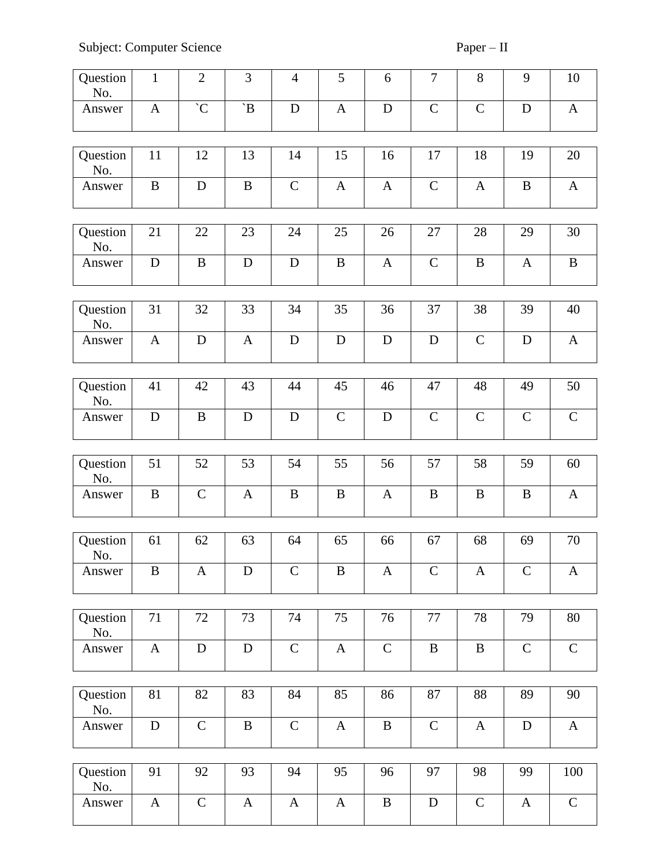Subject: Computer Science Paper – II

| Question<br>No. | $\mathbf{1}$ | $\mathbf{2}$  | 3             | $\overline{4}$ | 5            | 6            | $\boldsymbol{7}$ | 8            | 9             | 10           |
|-----------------|--------------|---------------|---------------|----------------|--------------|--------------|------------------|--------------|---------------|--------------|
| Answer          | $\mathbf{A}$ | $\mathcal{C}$ | $\mathbf{B}'$ | D              | $\mathbf{A}$ | $\mathbf D$  | $\mathbf C$      | ${\bf C}$    | $\mathbf D$   | $\mathbf{A}$ |
| Question<br>No. | 11           | 12            | 13            | 14             | 15           | 16           | 17               | 18           | 19            | 20           |
| Answer          | $\bf{B}$     | D             | $\, {\bf B}$  | $\mathbf C$    | $\mathbf{A}$ | $\mathbf{A}$ | $\mathbf C$      | $\mathbf{A}$ | $\bf{B}$      | $\mathbf{A}$ |
| Question<br>No. | 21           | 22            | 23            | 24             | 25           | 26           | 27               | 28           | 29            | 30           |
| Answer          | $\mathbf D$  | $\, {\bf B}$  | $\mathbf D$   | $\mathbf D$    | $\, {\bf B}$ | $\mathbf{A}$ | $\mathbf C$      | $\, {\bf B}$ | A             | $\, {\bf B}$ |
| Question<br>No. | 31           | 32            | 33            | 34             | 35           | 36           | 37               | 38           | 39            | 40           |
| Answer          | $\mathbf{A}$ | $\mathbf D$   | $\mathbf{A}$  | D              | $\mathbf D$  | $\mathbf D$  | $\mathbf D$      | $\mathbf C$  | ${\bf D}$     | $\mathbf{A}$ |
| Question<br>No. | 41           | 42            | 43            | 44             | 45           | 46           | 47               | 48           | 49            | 50           |
| Answer          | $\mathbf D$  | $\, {\bf B}$  | ${\bf D}$     | $\mathbf D$    | $\mathbf C$  | $\mathbf D$  | $\mathbf C$      | $\mathbf C$  | $\mathbf C$   | $\mathbf C$  |
| Question<br>No. | 51           | 52            | 53            | 54             | 55           | 56           | 57               | 58           | 59            | 60           |
| Answer          | $\bf{B}$     | $\mathbf C$   | $\mathbf{A}$  | $\bf{B}$       | $\bf{B}$     | $\mathbf{A}$ | $\, {\bf B}$     | $\bf{B}$     | $\bf{B}$      | $\mathbf{A}$ |
| Question<br>No. | 61           | 62            | 63            | 64             | 65           | 66           | 67               | 68           | 69            | 70           |
| Answer          | $\bf{B}$     | A             | $\mathbf D$   | $\mathbf C$    | $\bf{B}$     | $\mathbf{A}$ | $\mathcal{C}$    | $\mathbf{A}$ | $\mathcal{C}$ | $\mathbf{A}$ |
| Question<br>No. | 71           | 72            | 73            | 74             | 75           | 76           | 77               | 78           | 79            | 80           |
| Answer          | $\mathbf{A}$ | ${\bf D}$     | $\mathbf D$   | $\mathsf C$    | $\mathbf{A}$ | $\mathbf C$  | $\, {\bf B}$     | $\, {\bf B}$ | $\mathbf C$   | $\mathbf C$  |
| Question<br>No. | 81           | 82            | 83            | 84             | 85           | 86           | 87               | 88           | 89            | 90           |
| Answer          | ${\bf D}$    | $\mathbf C$   | $\, {\bf B}$  | $\mathbf C$    | $\mathbf{A}$ | $\bf{B}$     | $\mathbf C$      | $\mathbf{A}$ | $\mathbf D$   | $\mathbf{A}$ |
| Question<br>No. | 91           | 92            | 93            | 94             | 95           | 96           | 97               | 98           | 99            | 100          |
| Answer          | $\mathbf{A}$ | $\mathbf C$   | $\mathbf{A}$  | $\mathbf{A}$   | $\mathbf{A}$ | $\bf{B}$     | $\mathbf D$      | $\mathbf C$  | $\mathbf{A}$  | $\mathbf C$  |